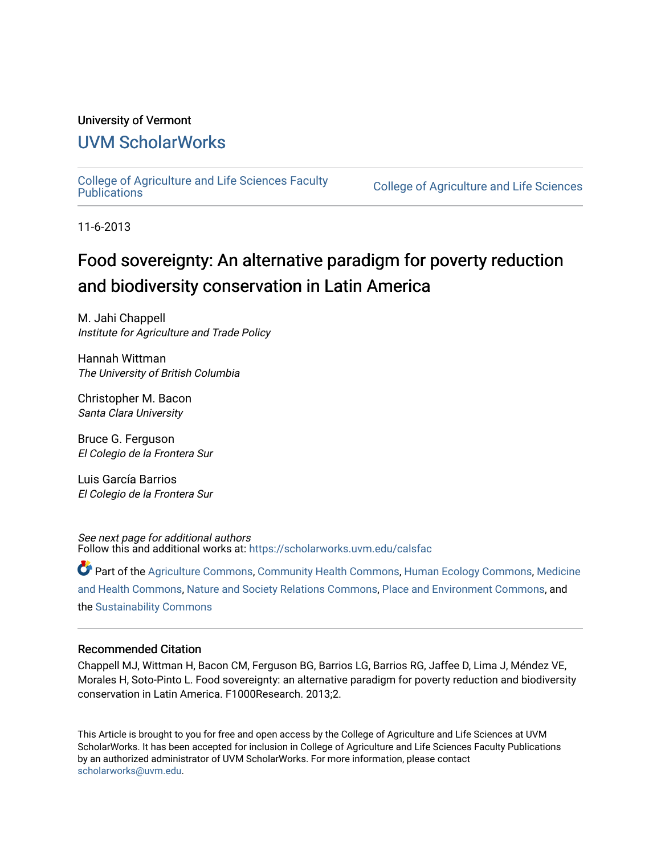# University of Vermont

# [UVM ScholarWorks](https://scholarworks.uvm.edu/)

[College of Agriculture and Life Sciences Faculty](https://scholarworks.uvm.edu/calsfac) 

**College of Agriculture and Life Sciences** 

11-6-2013

# Food sovereignty: An alternative paradigm for poverty reduction and biodiversity conservation in Latin America

M. Jahi Chappell Institute for Agriculture and Trade Policy

Hannah Wittman The University of British Columbia

Christopher M. Bacon Santa Clara University

Bruce G. Ferguson El Colegio de la Frontera Sur

Luis García Barrios El Colegio de la Frontera Sur

See next page for additional authors Follow this and additional works at: [https://scholarworks.uvm.edu/calsfac](https://scholarworks.uvm.edu/calsfac?utm_source=scholarworks.uvm.edu%2Fcalsfac%2F172&utm_medium=PDF&utm_campaign=PDFCoverPages)

Part of the [Agriculture Commons](http://network.bepress.com/hgg/discipline/1076?utm_source=scholarworks.uvm.edu%2Fcalsfac%2F172&utm_medium=PDF&utm_campaign=PDFCoverPages), [Community Health Commons](http://network.bepress.com/hgg/discipline/714?utm_source=scholarworks.uvm.edu%2Fcalsfac%2F172&utm_medium=PDF&utm_campaign=PDFCoverPages), [Human Ecology Commons,](http://network.bepress.com/hgg/discipline/1335?utm_source=scholarworks.uvm.edu%2Fcalsfac%2F172&utm_medium=PDF&utm_campaign=PDFCoverPages) [Medicine](http://network.bepress.com/hgg/discipline/422?utm_source=scholarworks.uvm.edu%2Fcalsfac%2F172&utm_medium=PDF&utm_campaign=PDFCoverPages)  [and Health Commons,](http://network.bepress.com/hgg/discipline/422?utm_source=scholarworks.uvm.edu%2Fcalsfac%2F172&utm_medium=PDF&utm_campaign=PDFCoverPages) [Nature and Society Relations Commons,](http://network.bepress.com/hgg/discipline/357?utm_source=scholarworks.uvm.edu%2Fcalsfac%2F172&utm_medium=PDF&utm_campaign=PDFCoverPages) [Place and Environment Commons,](http://network.bepress.com/hgg/discipline/424?utm_source=scholarworks.uvm.edu%2Fcalsfac%2F172&utm_medium=PDF&utm_campaign=PDFCoverPages) and the [Sustainability Commons](http://network.bepress.com/hgg/discipline/1031?utm_source=scholarworks.uvm.edu%2Fcalsfac%2F172&utm_medium=PDF&utm_campaign=PDFCoverPages) 

# Recommended Citation

Chappell MJ, Wittman H, Bacon CM, Ferguson BG, Barrios LG, Barrios RG, Jaffee D, Lima J, Méndez VE, Morales H, Soto-Pinto L. Food sovereignty: an alternative paradigm for poverty reduction and biodiversity conservation in Latin America. F1000Research. 2013;2.

This Article is brought to you for free and open access by the College of Agriculture and Life Sciences at UVM ScholarWorks. It has been accepted for inclusion in College of Agriculture and Life Sciences Faculty Publications by an authorized administrator of UVM ScholarWorks. For more information, please contact [scholarworks@uvm.edu](mailto:scholarworks@uvm.edu).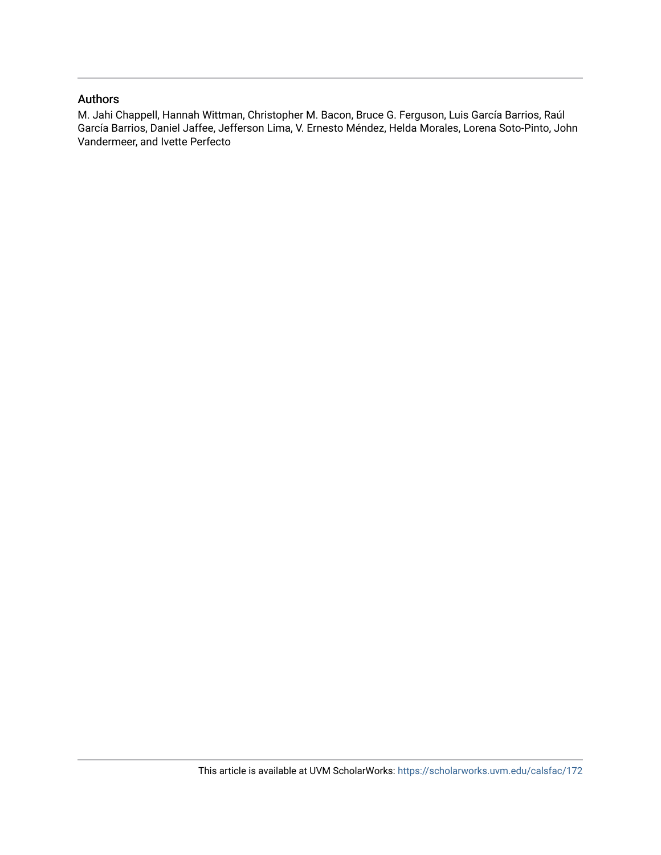# Authors

M. Jahi Chappell, Hannah Wittman, Christopher M. Bacon, Bruce G. Ferguson, Luis García Barrios, Raúl García Barrios, Daniel Jaffee, Jefferson Lima, V. Ernesto Méndez, Helda Morales, Lorena Soto-Pinto, John Vandermeer, and Ivette Perfecto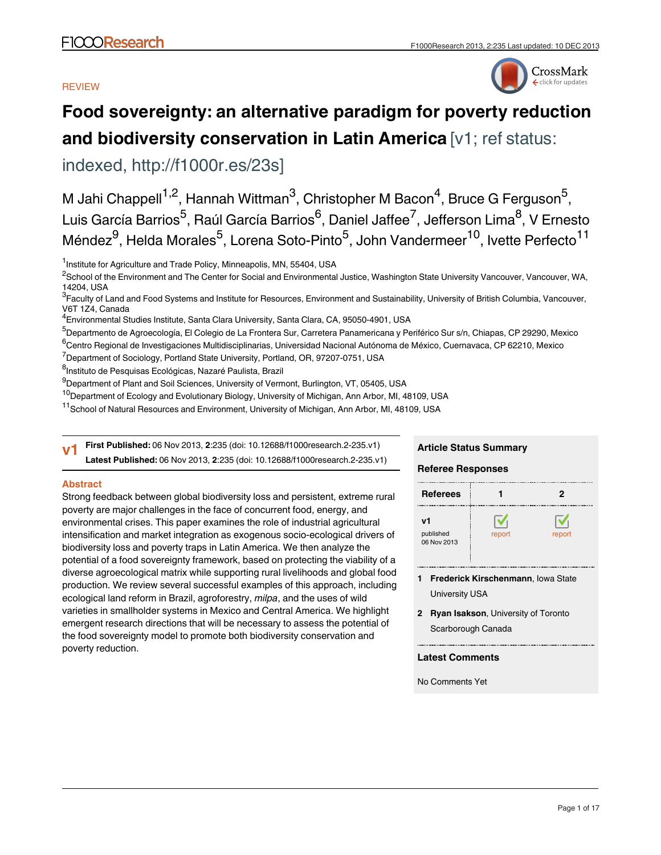# REVIEW



# **Food sovereignty: an alternative paradigm for poverty reduction**

# **and biodiversity conservation in Latin America** [v1; ref status:

indexed, [http://f1000r.es/23s\]](http://f1000r.es/23s)

M Jahi Chappell<sup>1,2</sup>, Hannah Wittman<sup>3</sup>, Christopher M Bacon<sup>4</sup>, Bruce G Ferguson<sup>5</sup>, Luis García Barrios<sup>5</sup>, Raúl García Barrios<sup>6</sup>, Daniel Jaffee<sup>7</sup>, Jefferson Lima<sup>8</sup>, V Ernesto Méndez<sup>9</sup>, Helda Morales<sup>5</sup>, Lorena Soto-Pinto<sup>5</sup>, John Vandermeer<sup>10</sup>, Ivette Perfecto<sup>11</sup>

<sup>1</sup> Institute for Agriculture and Trade Policy, Minneapolis, MN, 55404, USA

- <sup>5</sup>Departmento de Agroecología, El Colegio de La Frontera Sur, Carretera Panamericana y Periférico Sur s/n, Chiapas, CP 29290, Mexico
- <sup>6</sup>Centro Regional de Investigaciones Multidisciplinarias, Universidad Nacional Autónoma de México, Cuernavaca, CP 62210, Mexico
- <sup>7</sup>Department of Sociology, Portland State University, Portland, OR, 97207-0751, USA

8Instituto de Pesquisas Ecológicas, Nazaré Paulista, Brazil

<sup>9</sup>Department of Plant and Soil Sciences, University of Vermont, Burlington, VT, 05405, USA

<sup>10</sup>Department of Ecology and Evolutionary Biology, University of Michigan, Ann Arbor, MI, 48109, USA

<sup>11</sup> School of Natural Resources and Environment, University of Michigan, Ann Arbor, MI, 48109, USA

**First Published:** 06 Nov 2013, **2**:235 (doi: 10.12688/f1000research.2-235.v1) **Latest Published:** 06 Nov 2013, **2**:235 (doi: 10.12688/f1000research.2-235.v1) **v1**

## **Abstract**

Strong feedback between global biodiversity loss and persistent, extreme rural poverty are major challenges in the face of concurrent food, energy, and environmental crises. This paper examines the role of industrial agricultural intensification and market integration as exogenous socio-ecological drivers of biodiversity loss and poverty traps in Latin America. We then analyze the potential of a food sovereignty framework, based on protecting the viability of a diverse agroecological matrix while supporting rural livelihoods and global food production. We review several successful examples of this approach, including ecological land reform in Brazil, agroforestry, *milpa*, and the uses of wild varieties in smallholder systems in Mexico and Central America. We highlight emergent research directions that will be necessary to assess the potential of the food sovereignty model to promote both biodiversity conservation and poverty reduction.

## **Article Status Summary**

#### **Referee Responses**



- **Frederick Kirschenmann**, Iowa State University USA **1**
- **Ryan Isakson**, University of Toronto **2** Scarborough Canada

## **Latest Comments**

No Comments Yet

<sup>&</sup>lt;sup>2</sup>School of the Environment and The Center for Social and Environmental Justice, Washington State University Vancouver, Vancouver, WA, 14204, USA

 $^3$ Faculty of Land and Food Systems and Institute for Resources, Environment and Sustainability, University of British Columbia, Vancouver, V6T 1Z4, Canada

 $^4$ Environmental Studies Institute, Santa Clara University, Santa Clara, CA, 95050-4901, USA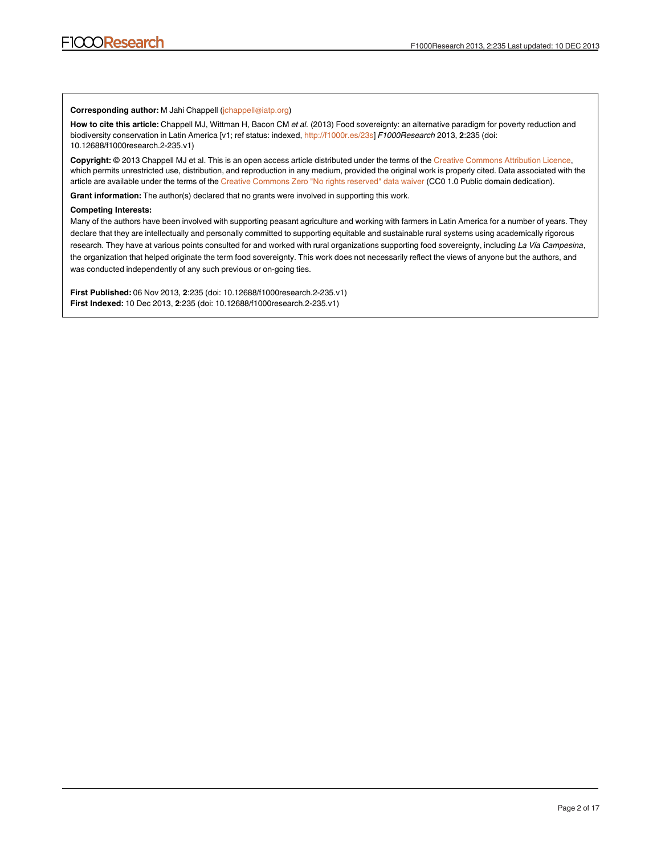#### **Corresponding author:** M Jahi Chappell (jchappell@iatp.org)

**How to cite this article:** Chappell MJ, Wittman H, Bacon CM *et al.* (2013) Food sovereignty: an alternative paradigm for poverty reduction and biodiversity conservation in Latin America [v1; ref status: indexed, <http://f1000r.es/23s>] *F1000Research* 2013, **2**:235 (doi: 10.12688/f1000research.2-235.v1)

**Copyright:** © 2013 Chappell MJ et al. This is an open access article distributed under the terms of the [Creative Commons Attribution Licence,](http://creativecommons.org/licenses/by/3.0/) which permits unrestricted use, distribution, and reproduction in any medium, provided the original work is properly cited. Data associated with the article are available under the terms of the [Creative Commons Zero "No rights reserved" data waiver](http://creativecommons.org/publicdomain/zero/1.0/) (CC0 1.0 Public domain dedication).

**Grant information:** The author(s) declared that no grants were involved in supporting this work.

#### **Competing Interests:**

Many of the authors have been involved with supporting peasant agriculture and working with farmers in Latin America for a number of years. They declare that they are intellectually and personally committed to supporting equitable and sustainable rural systems using academically rigorous research. They have at various points consulted for and worked with rural organizations supporting food sovereignty, including *La Vía Campesina*, the organization that helped originate the term food sovereignty. This work does not necessarily reflect the views of anyone but the authors, and was conducted independently of any such previous or on-going ties.

**First Published:** 06 Nov 2013, **2**:235 (doi: 10.12688/f1000research.2-235.v1) **First Indexed:** 10 Dec 2013, **2**:235 (doi: 10.12688/f1000research.2-235.v1)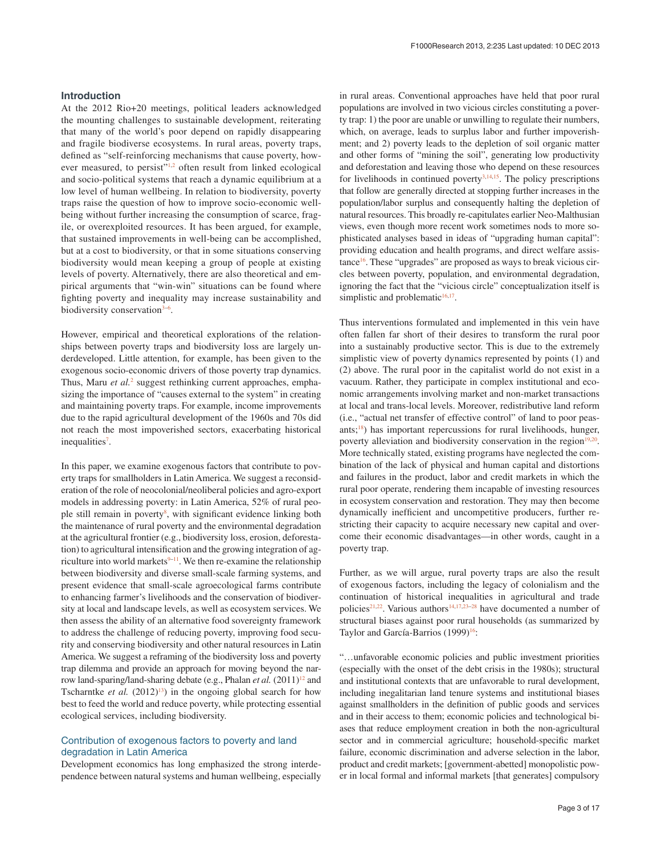#### **Introduction**

At the 2012 Rio+20 meetings, political leaders acknowledged the mounting challenges to sustainable development, reiterating that many of the world's poor depend on rapidly disappearing and fragile biodiverse ecosystems. In rural areas, poverty traps, defined as "self-reinforcing mechanisms that cause poverty, how-ever measured, to persist"<sup>[1,2](#page-12-0)</sup> often result from linked ecological and socio-political systems that reach a dynamic equilibrium at a low level of human wellbeing. In relation to biodiversity, poverty traps raise the question of how to improve socio-economic wellbeing without further increasing the consumption of scarce, fragile, or overexploited resources. It has been argued, for example, that sustained improvements in well-being can be accomplished, but at a cost to biodiversity, or that in some situations conserving biodiversity would mean keeping a group of people at existing levels of poverty. Alternatively, there are also theoretical and empirical arguments that "win-win" situations can be found where fighting poverty and inequality may increase sustainability and biodiversity conservation<sup>3-6</sup>.

However, empirical and theoretical explorations of the relationships between poverty traps and biodiversity loss are largely underdeveloped. Little attention, for example, has been given to the exogenous socio-economic drivers of those poverty trap dynamics. Thus, Maru *et al.*<sup>[2](#page-12-0)</sup> suggest rethinking current approaches, emphasizing the importance of "causes external to the system" in creating and maintaining poverty traps. For example, income improvements due to the rapid agricultural development of the 1960s and 70s did not reach the most impoverished sectors, exacerbating historical inequalities<sup>7</sup>.

In this paper, we examine exogenous factors that contribute to poverty traps for smallholders in Latin America. We suggest a reconsideration of the role of neocolonial/neoliberal policies and agro-export models in addressing poverty: in Latin America, 52% of rural peo-ple still remain in poverty<sup>[8](#page-12-0)</sup>, with significant evidence linking both the maintenance of rural poverty and the environmental degradation at the agricultural frontier (e.g., biodiversity loss, erosion, deforestation) to agricultural intensification and the growing integration of agriculture into world markets $9-11$ . We then re-examine the relationship between biodiversity and diverse small-scale farming systems, and present evidence that small-scale agroecological farms contribute to enhancing farmer's livelihoods and the conservation of biodiversity at local and landscape levels, as well as ecosystem services. We then assess the ability of an alternative food sovereignty framework to address the challenge of reducing poverty, improving food security and conserving biodiversity and other natural resources in Latin America. We suggest a reframing of the biodiversity loss and poverty trap dilemma and provide an approach for moving beyond the narrow land-sparing/land-sharing debate (e.g., Phalan *et al.* (2011)<sup>12</sup> and Tscharntke *et al.*  $(2012)^{13}$  in the ongoing global search for how best to feed the world and reduce poverty, while protecting essential ecological services, including biodiversity.

#### Contribution of exogenous factors to poverty and land degradation in Latin America

Development economics has long emphasized the strong interdependence between natural systems and human wellbeing, especially in rural areas. Conventional approaches have held that poor rural populations are involved in two vicious circles constituting a poverty trap: 1) the poor are unable or unwilling to regulate their numbers, which, on average, leads to surplus labor and further impoverishment; and 2) poverty leads to the depletion of soil organic matter and other forms of "mining the soil", generating low productivity and deforestation and leaving those who depend on these resources for livelihoods in continued poverty $3,14,15$ . The policy prescriptions that follow are generally directed at stopping further increases in the population/labor surplus and consequently halting the depletion of natural resources. This broadly re-capitulates earlier Neo-Malthusian views, even though more recent work sometimes nods to more sophisticated analyses based in ideas of "upgrading human capital": providing education and health programs, and direct welfare assistance[16.](#page-12-0) These "upgrades" are proposed as ways to break vicious circles between poverty, population, and environmental degradation, ignoring the fact that the "vicious circle" conceptualization itself is simplistic and problematic $16,17$ .

Thus interventions formulated and implemented in this vein have often fallen far short of their desires to transform the rural poor into a sustainably productive sector. This is due to the extremely simplistic view of poverty dynamics represented by points (1) and (2) above. The rural poor in the capitalist world do not exist in a vacuum. Rather, they participate in complex institutional and economic arrangements involving market and non-market transactions at local and trans-local levels. Moreover, redistributive land reform (i.e., "actual net transfer of effective control" of land to poor peas- $ants;18)$  $ants;18)$  has important repercussions for rural livelihoods, hunger, poverty alleviation and biodiversity conservation in the region $19,20$ . More technically stated, existing programs have neglected the combination of the lack of physical and human capital and distortions and failures in the product, labor and credit markets in which the rural poor operate, rendering them incapable of investing resources in ecosystem conservation and restoration. They may then become dynamically inefficient and uncompetitive producers, further restricting their capacity to acquire necessary new capital and overcome their economic disadvantages—in other words, caught in a poverty trap.

Further, as we will argue, rural poverty traps are also the result of exogenous factors, including the legacy of colonialism and the continuation of historical inequalities in agricultural and trade policies<sup>[21,22](#page-12-0)</sup>. Various authors<sup>[14,17,23–28](#page-12-0)</sup> have documented a number of structural biases against poor rural households (as summarized by Taylor and García-Barrios (1999)<sup>16</sup>:

"…unfavorable economic policies and public investment priorities (especially with the onset of the debt crisis in the 1980s); structural and institutional contexts that are unfavorable to rural development, including inegalitarian land tenure systems and institutional biases against smallholders in the definition of public goods and services and in their access to them; economic policies and technological biases that reduce employment creation in both the non-agricultural sector and in commercial agriculture; household-specific market failure, economic discrimination and adverse selection in the labor, product and credit markets; [government-abetted] monopolistic power in local formal and informal markets [that generates] compulsory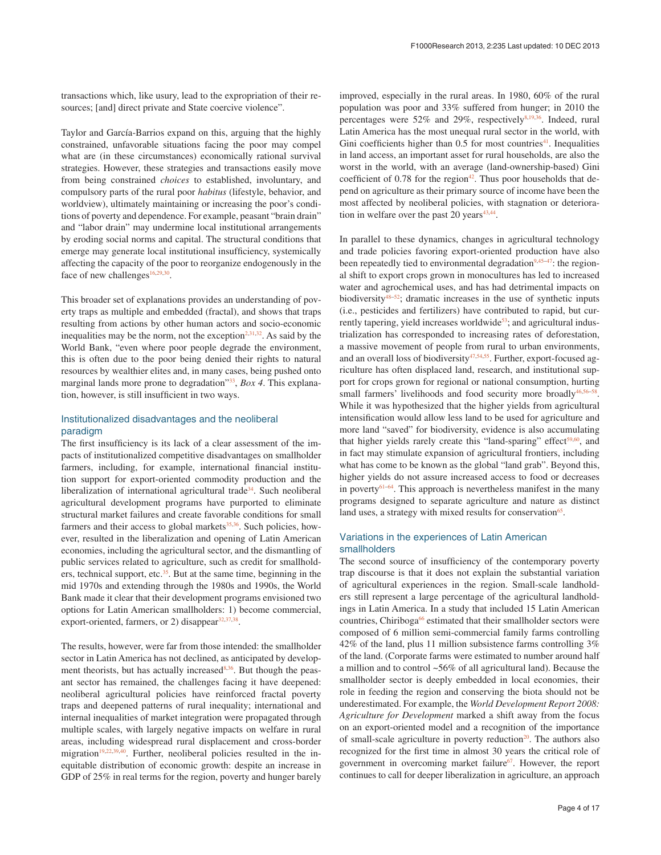transactions which, like usury, lead to the expropriation of their resources; [and] direct private and State coercive violence".

Taylor and García-Barrios expand on this, arguing that the highly constrained, unfavorable situations facing the poor may compel what are (in these circumstances) economically rational survival strategies. However, these strategies and transactions easily move from being constrained *choices* to established, involuntary, and compulsory parts of the rural poor *habitus* (lifestyle, behavior, and worldview), ultimately maintaining or increasing the poor's conditions of poverty and dependence. For example, peasant "brain drain" and "labor drain" may undermine local institutional arrangements by eroding social norms and capital. The structural conditions that emerge may generate local institutional insufficiency, systemically affecting the capacity of the poor to reorganize endogenously in the face of new challenges $16,29,30$ .

This broader set of explanations provides an understanding of poverty traps as multiple and embedded (fractal), and shows that traps resulting from actions by other human actors and socio-economic inequalities may be the norm, not the exception<sup>2,31,32</sup>. As said by the World Bank, "even where poor people degrade the environment, this is often due to the poor being denied their rights to natural resources by wealthier elites and, in many cases, being pushed onto marginal lands more prone to degradation"[33,](#page-12-0) *Box 4*. This explanation, however, is still insufficient in two ways.

#### Institutionalized disadvantages and the neoliberal paradigm

The first insufficiency is its lack of a clear assessment of the impacts of institutionalized competitive disadvantages on smallholder farmers, including, for example, international financial institution support for export-oriented commodity production and the liberalization of international agricultural trade<sup>34</sup>. Such neoliberal agricultural development programs have purported to eliminate structural market failures and create favorable conditions for small farmers and their access to global markets $35,36$ . Such policies, however, resulted in the liberalization and opening of Latin American economies, including the agricultural sector, and the dismantling of public services related to agriculture, such as credit for smallhold-ers, technical support, etc.<sup>[35](#page-12-0)</sup>. But at the same time, beginning in the mid 1970s and extending through the 1980s and 1990s, the World Bank made it clear that their development programs envisioned two options for Latin American smallholders: 1) become commercial, export-oriented, farmers, or 2) disappear $32,37,38$ .

The results, however, were far from those intended: the smallholder sector in Latin America has not declined, as anticipated by development theorists, but has actually increased<sup>8,36</sup>. But though the peasant sector has remained, the challenges facing it have deepened: neoliberal agricultural policies have reinforced fractal poverty traps and deepened patterns of rural inequality; international and internal inequalities of market integration were propagated through multiple scales, with largely negative impacts on welfare in rural areas, including widespread rural displacement and cross-border migration<sup>[19,22](#page-12-0),39,40</sup>. Further, neoliberal policies resulted in the inequitable distribution of economic growth: despite an increase in GDP of 25% in real terms for the region, poverty and hunger barely

improved, especially in the rural areas. In 1980, 60% of the rural population was poor and 33% suffered from hunger; in 2010 the percentages were 52% and 29%, respectively<sup>8,19,36</sup>. Indeed, rural Latin America has the most unequal rural sector in the world, with Gini coefficients higher than  $0.5$  for most countries<sup>41</sup>. Inequalities in land access, an important asset for rural households, are also the worst in the world, with an average (land-ownership-based) Gini coefficient of  $0.78$  for the region<sup>42</sup>. Thus poor households that depend on agriculture as their primary source of income have been the most affected by neoliberal policies, with stagnation or deterioration in welfare over the past 20 years $43,44$ .

In parallel to these dynamics, changes in agricultural technology and trade policies favoring export-oriented production have also been repeatedly tied to environmental degradation $9,45-47$ : the regional shift to export crops grown in monocultures has led to increased water and agrochemical uses, and has had detrimental impacts on biodiversity<sup>48–52</sup>; dramatic increases in the use of synthetic inputs (i.e., pesticides and fertilizers) have contributed to rapid, but cur-rently tapering, yield increases worldwide<sup>[53](#page-13-0)</sup>; and agricultural industrialization has corresponded to increasing rates of deforestation, a massive movement of people from rural to urban environments, and an overall loss of biodiversity<sup>47,54,55</sup>. Further, export-focused agriculture has often displaced land, research, and institutional support for crops grown for regional or national consumption, hurting smallfarmers' livelihoods and food security more broadly $46,56-58$  $46,56-58$ . While it was hypothesized that the higher yields from agricultural intensification would allow less land to be used for agriculture and more land "saved" for biodiversity, evidence is also accumulating that higher yields rarely create this "land-sparing" effect<sup>59,60</sup>, and in fact may stimulate expansion of agricultural frontiers, including what has come to be known as the global "land grab". Beyond this, higher yields do not assure increased access to food or decreases in poverty $61-64$ . This approach is nevertheless manifest in the many programs designed to separate agriculture and nature as distinct land uses, a strategy with mixed results for conservation $65$ .

#### Variations in the experiences of Latin American smallholders

The second source of insufficiency of the contemporary poverty trap discourse is that it does not explain the substantial variation of agricultural experiences in the region. Small-scale landholders still represent a large percentage of the agricultural landholdings in Latin America. In a study that included 15 Latin American countries, Chiriboga<sup>[66](#page-13-0)</sup> estimated that their smallholder sectors were composed of 6 million semi-commercial family farms controlling 42% of the land, plus 11 million subsistence farms controlling 3% of the land. (Corporate farms were estimated to number around half a million and to control ~56% of all agricultural land). Because the smallholder sector is deeply embedded in local economies, their role in feeding the region and conserving the biota should not be underestimated. For example, the *World Development Report 2008: Agriculture for Development* marked a shift away from the focus on an export-oriented model and a recognition of the importance of small-scale agriculture in poverty reduction $20$ . The authors also recognized for the first time in almost 30 years the critical role of government in overcoming market failure<sup>[67](#page-13-0)</sup>. However, the report continues to call for deeper liberalization in agriculture, an approach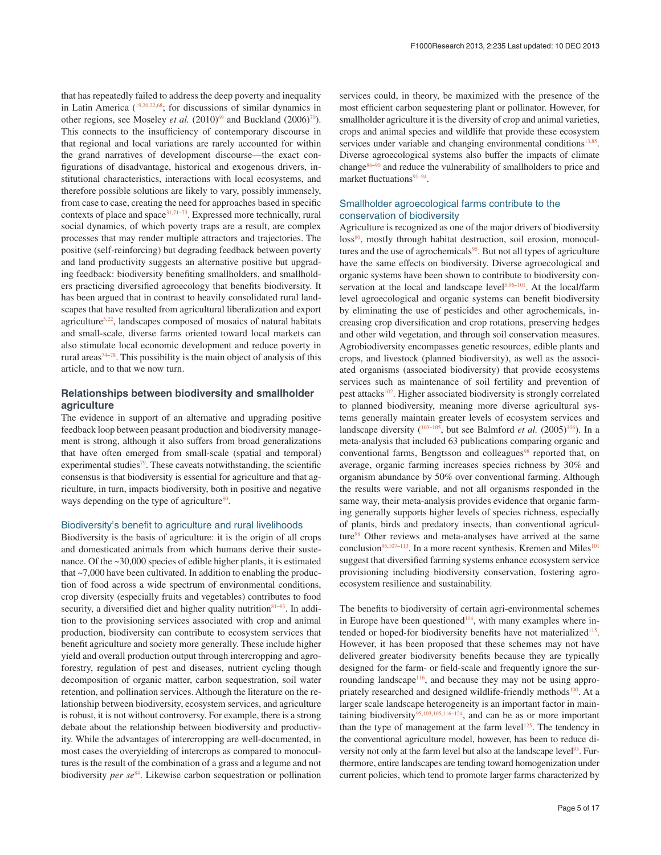that has repeatedly failed to address the deep poverty and inequality in Latin America ([19,20,22,68;](#page-13-0) for discussions of similar dynamics in other regions, see Moseley *et al.*  $(2010)^{69}$  and Buckland  $(2006)^{70}$ . This connects to the insufficiency of contemporary discourse in that regional and local variations are rarely accounted for within the grand narratives of development discourse—the exact configurations of disadvantage, historical and exogenous drivers, institutional characteristics, interactions with local ecosystems, and therefore possible solutions are likely to vary, possibly immensely, from case to case, creating the need for approaches based in specific contexts of place and space<sup>31,71–73</sup>. Expressed more technically, rural social dynamics, of which poverty traps are a result, are complex processes that may render multiple attractors and trajectories. The positive (self-reinforcing) but degrading feedback between poverty and land productivity suggests an alternative positive but upgrading feedback: biodiversity benefiting smallholders, and smallholders practicing diversified agroecology that benefits biodiversity. It has been argued that in contrast to heavily consolidated rural landscapes that have resulted from agricultural liberalization and export agriculture<sup>5,22</sup>, landscapes composed of mosaics of natural habitats and small-scale, diverse farms oriented toward local markets can also stimulate local economic development and reduce poverty in rural areas $74-78$ . This possibility is the main object of analysis of this article, and to that we now turn.

#### **Relationships between biodiversity and smallholder agriculture**

The evidence in support of an alternative and upgrading positive feedback loop between peasant production and biodiversity management is strong, although it also suffers from broad generalizations that have often emerged from small-scale (spatial and temporal) experimental studies $\frac{79}{2}$  $\frac{79}{2}$  $\frac{79}{2}$ . These caveats notwithstanding, the scientific consensus is that biodiversity is essential for agriculture and that agriculture, in turn, impacts biodiversity, both in positive and negative ways depending on the type of agriculture<sup>80</sup>.

#### Biodiversity's benefit to agriculture and rural livelihoods

Biodiversity is the basis of agriculture: it is the origin of all crops and domesticated animals from which humans derive their sustenance. Of the ~30,000 species of edible higher plants, it is estimated that ~7,000 have been cultivated. In addition to enabling the production of food across a wide spectrum of environmental conditions, crop diversity (especially fruits and vegetables) contributes to food security, a diversified diet and higher quality nutrition $81-83$ . In addition to the provisioning services associated with crop and animal production, biodiversity can contribute to ecosystem services that benefit agriculture and society more generally. These include higher yield and overall production output through intercropping and agroforestry, regulation of pest and diseases, nutrient cycling though decomposition of organic matter, carbon sequestration, soil water retention, and pollination services. Although the literature on the relationship between biodiversity, ecosystem services, and agriculture is robust, it is not without controversy. For example, there is a strong debate about the relationship between biodiversity and productivity. While the advantages of intercropping are well-documented, in most cases the overyielding of intercrops as compared to monocultures is the result of the combination of a grass and a legume and not biodiversity *per se*[84.](#page-13-0) Likewise carbon sequestration or pollination

services could, in theory, be maximized with the presence of the most efficient carbon sequestering plant or pollinator. However, for smallholder agriculture it is the diversity of crop and animal varieties, crops and animal species and wildlife that provide these ecosystem services under variable and changing environmental conditions<sup>[13](#page-12-0)[,85](#page-13-0)</sup>. Diverse agroecological systems also buffer the impacts of climate change $86-90$  and reduce the vulnerability of smallholders to price and market fluctuations $91-94$ .

#### Smallholder agroecological farms contribute to the conservation of biodiversity

Agriculture is recognized as one of the major drivers of biodiversity loss<sup>80</sup>, mostly through habitat destruction, soil erosion, monocultures and the use of agrochemicals $95$ . But not all types of agriculture have the same effects on biodiversity. Diverse agroecological and organic systems have been shown to contribute to biodiversity con-servation at the local and landscape level<sup>[5](#page-12-0),96-101</sup>. At the local/farm level agroecological and organic systems can benefit biodiversity by eliminating the use of pesticides and other agrochemicals, increasing crop diversification and crop rotations, preserving hedges and other wild vegetation, and through soil conservation measures. Agrobiodiversity encompasses genetic resources, edible plants and crops, and livestock (planned biodiversity), as well as the associated organisms (associated biodiversity) that provide ecosystems services such as maintenance of soil fertility and prevention of pest attacks<sup>102</sup>. Higher associated biodiversity is strongly correlated to planned biodiversity, meaning more diverse agricultural systems generally maintain greater levels of ecosystem services and landscape diversity  $(103-105)$ , but see Balmford *et al.*  $(2005)^{106}$ ). In a meta-analysis that included 63 publications comparing organic and conventional farms, Bengtsson and colleagues<sup>98</sup> reported that, on average, organic farming increases species richness by 30% and organism abundance by 50% over conventional farming. Although the results were variable, and not all organisms responded in the same way, their meta-analysis provides evidence that organic farming generally supports higher levels of species richness, especially of plants, birds and predatory insects, than conventional agriculture<sup>98</sup> Other reviews and meta-analyses have arrived at the same conclusion<sup>[95](#page-13-0),107–113</sup>. In a more recent synthesis, Kremen and Miles<sup>[101](#page-14-0)</sup> suggest that diversified farming systems enhance ecosystem service provisioning including biodiversity conservation, fostering agroecosystem resilience and sustainability.

The benefits to biodiversity of certain agri-environmental schemes in Europe have been questioned $114$ , with many examples where intended or hoped-for biodiversity benefits have not materialized<sup>115</sup>. However, it has been proposed that these schemes may not have delivered greater biodiversity benefits because they are typically designed for the farm- or field-scale and frequently ignore the surrounding landscape<sup>116</sup>, and because they may not be using appropriately researched and designed wildlife-friendly methods<sup>100</sup>. At a larger scale landscape heterogeneity is an important factor in maintaining biodiversity $95,103,105,116-124$ , and can be as or more important than the type of management at the farm level<sup>125</sup>. The tendency in the conventional agriculture model, however, has been to reduce diversity not only at the farm level but also at the landscape level<sup>95</sup>. Furthermore, entire landscapes are tending toward homogenization under current policies, which tend to promote larger farms characterized by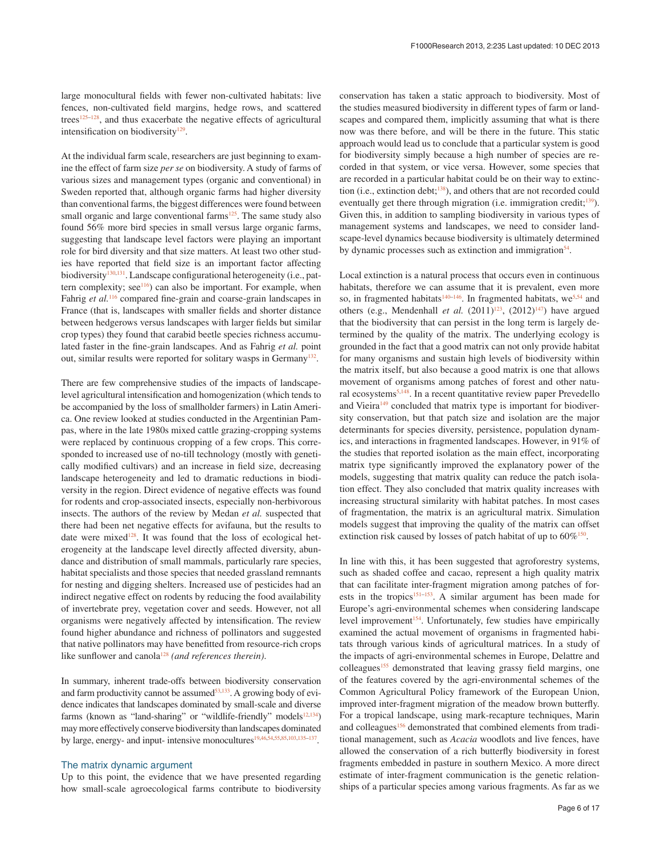large monocultural fields with fewer non-cultivated habitats: live fences, non-cultivated field margins, hedge rows, and scattered trees $125-128$ , and thus exacerbate the negative effects of agricultural intensification on biodiversity<sup>129</sup>.

At the individual farm scale, researchers are just beginning to examine the effect of farm size *per se* on biodiversity. A study of farms of various sizes and management types (organic and conventional) in Sweden reported that, although organic farms had higher diversity than conventional farms, the biggest differences were found between small organic and large conventional farms $125$ . The same study also found 56% more bird species in small versus large organic farms, suggesting that landscape level factors were playing an important role for bird diversity and that size matters. At least two other studies have reported that field size is an important factor affecting biodiversity<sup>130,131</sup>. Landscape configurational heterogeneity (i.e., pattern complexity; see $116$ ) can also be important. For example, when Fahrig *et al.*<sup>116</sup> compared fine-grain and coarse-grain landscapes in France (that is, landscapes with smaller fields and shorter distance between hedgerows versus landscapes with larger fields but similar crop types) they found that carabid beetle species richness accumulated faster in the fine-grain landscapes. And as Fahrig *et al.* point out, similar results were reported for solitary wasps in Germany<sup>132</sup>.

There are few comprehensive studies of the impacts of landscapelevel agricultural intensification and homogenization (which tends to be accompanied by the loss of smallholder farmers) in Latin America. One review looked at studies conducted in the Argentinian Pampas, where in the late 1980s mixed cattle grazing-cropping systems were replaced by continuous cropping of a few crops. This corresponded to increased use of no-till technology (mostly with genetically modified cultivars) and an increase in field size, decreasing landscape heterogeneity and led to dramatic reductions in biodiversity in the region. Direct evidence of negative effects was found for rodents and crop-associated insects, especially non-herbivorous insects. The authors of the review by Medan *et al.* suspected that there had been net negative effects for avifauna, but the results to date were mixed<sup>[128](#page-14-0)</sup>. It was found that the loss of ecological heterogeneity at the landscape level directly affected diversity, abundance and distribution of small mammals, particularly rare species, habitat specialists and those species that needed grassland remnants for nesting and digging shelters. Increased use of pesticides had an indirect negative effect on rodents by reducing the food availability of invertebrate prey, vegetation cover and seeds. However, not all organisms were negatively affected by intensification. The review found higher abundance and richness of pollinators and suggested that native pollinators may have benefitted from resource-rich crops like sunflower and canola<sup>[128](#page-14-0)</sup> (and references therein).

In summary, inherent trade-offs between biodiversity conservation and farm productivity cannot be assumed<sup>53,133</sup>. A growing body of evidence indicates that landscapes dominated by small-scale and diverse farms (known as "land-sharing" or "wildlife-friendly" models<sup>[1](#page-12-0)[2,](#page-13-0)134</sup>) may more effectively conserve biodiversity than landscapes dominated by large, energy- and input- intensive monocultures<sup>19,46,[54,55,85,](#page-13-0)103,135-137</sup>.

#### The matrix dynamic argument

Up to this point, the evidence that we have presented regarding how small-scale agroecological farms contribute to biodiversity conservation has taken a static approach to biodiversity. Most of the studies measured biodiversity in different types of farm or landscapes and compared them, implicitly assuming that what is there now was there before, and will be there in the future. This static approach would lead us to conclude that a particular system is good for biodiversity simply because a high number of species are recorded in that system, or vice versa. However, some species that are recorded in a particular habitat could be on their way to extinction (i.e., extinction debt;<sup>138</sup>), and others that are not recorded could eventually get there through migration (i.e. immigration credit; $139$ ). Given this, in addition to sampling biodiversity in various types of management systems and landscapes, we need to consider landscape-level dynamics because biodiversity is ultimately determined by dynamic processes such as extinction and immigration<sup>54</sup>.

Local extinction is a natural process that occurs even in continuous habitats, therefore we can assume that it is prevalent, even more so, in fragmented habitats<sup>140–146</sup>. In fragmented habitats, we<sup>[5](#page-12-0),54</sup> and others (e.g., Mendenhall *et al.*  $(2011)^{123}$  $(2011)^{123}$  $(2011)^{123}$ ,  $(2012)^{147}$ ) have argued that the biodiversity that can persist in the long term is largely determined by the quality of the matrix. The underlying ecology is grounded in the fact that a good matrix can not only provide habitat for many organisms and sustain high levels of biodiversity within the matrix itself, but also because a good matrix is one that allows movement of organisms among patches of forest and other natu-ral ecosystems<sup>5[,148](#page-15-0)</sup>. In a recent quantitative review paper Prevedello and Vieira<sup>149</sup> concluded that matrix type is important for biodiversity conservation, but that patch size and isolation are the major determinants for species diversity, persistence, population dynamics, and interactions in fragmented landscapes. However, in 91% of the studies that reported isolation as the main effect, incorporating matrix type significantly improved the explanatory power of the models, suggesting that matrix quality can reduce the patch isolation effect. They also concluded that matrix quality increases with increasing structural similarity with habitat patches. In most cases of fragmentation, the matrix is an agricultural matrix. Simulation models suggest that improving the quality of the matrix can offset extinction risk caused by losses of patch habitat of up to  $60\%$ <sup>150</sup>.

In line with this, it has been suggested that agroforestry systems, such as shaded coffee and cacao, represent a high quality matrix that can facilitate inter-fragment migration among patches of for-ests in the tropics<sup>[151–153](#page-15-0)</sup>. A similar argument has been made for Europe's agri-environmental schemes when considering landscape level improvement<sup>154</sup>. Unfortunately, few studies have empirically examined the actual movement of organisms in fragmented habitats through various kinds of agricultural matrices. In a study of the impacts of agri-environmental schemes in Europe, Delattre and colleagues<sup>155</sup> demonstrated that leaving grassy field margins, one of the features covered by the agri-environmental schemes of the Common Agricultural Policy framework of the European Union, improved inter-fragment migration of the meadow brown butterfly. For a tropical landscape, using mark-recapture techniques, Marin and colleagues<sup>156</sup> demonstrated that combined elements from traditional management, such as *Acacia* woodlots and live fences, have allowed the conservation of a rich butterfly biodiversity in forest fragments embedded in pasture in southern Mexico. A more direct estimate of inter-fragment communication is the genetic relationships of a particular species among various fragments. As far as we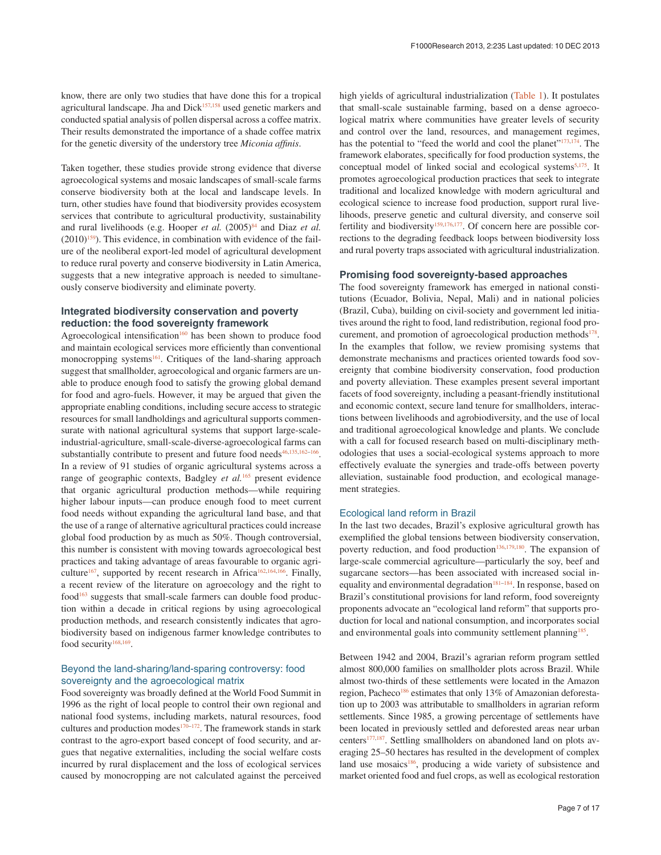know, there are only two studies that have done this for a tropical agricultural landscape. Jha and Dick<sup>157,158</sup> used genetic markers and conducted spatial analysis of pollen dispersal across a coffee matrix. Their results demonstrated the importance of a shade coffee matrix for the genetic diversity of the understory tree *Miconia affinis*.

Taken together, these studies provide strong evidence that diverse agroecological systems and mosaic landscapes of small-scale farms conserve biodiversity both at the local and landscape levels. In turn, other studies have found that biodiversity provides ecosystem services that contribute to agricultural productivity, sustainability and rural livelihoods (e.g. Hooper *et al.* (2005)<sup>[84](#page-13-0)</sup> and Diaz *et al.*  $(2010)^{159}$ ). This evidence, in combination with evidence of the failure of the neoliberal export-led model of agricultural development to reduce rural poverty and conserve biodiversity in Latin America, suggests that a new integrative approach is needed to simultaneously conserve biodiversity and eliminate poverty.

#### **Integrated biodiversity conservation and poverty reduction: the food sovereignty framework**

Agroecological intensification<sup>160</sup> has been shown to produce food and maintain ecological services more efficiently than conventional monocropping systems<sup>161</sup>. Critiques of the land-sharing approach suggest that smallholder, agroecological and organic farmers are unable to produce enough food to satisfy the growing global demand for food and agro-fuels. However, it may be argued that given the appropriate enabling conditions, including secure access to strategic resources for small landholdings and agricultural supports commensurate with national agricultural systems that support large-scaleindustrial-agriculture, small-scale-diverse-agroecological farms can substantially contribute to present and future food needs<sup>46,[135,](#page-14-0)162-166</sup>. In a review of 91 studies of organic agricultural systems across a range of geographic contexts, Badgley *et al.*[165](#page-15-0) present evidence that organic agricultural production methods—while requiring higher labour inputs—can produce enough food to meet current food needs without expanding the agricultural land base, and that the use of a range of alternative agricultural practices could increase global food production by as much as 50%. Though controversial, this number is consistent with moving towards agroecological best practices and taking advantage of areas favourable to organic agriculture<sup>167</sup>, supported by recent research in Africa<sup>162,164,166</sup>. Finally, a recent review of the literature on agroecology and the right to food<sup>163</sup> suggests that small-scale farmers can double food production within a decade in critical regions by using agroecological production methods, and research consistently indicates that agrobiodiversity based on indigenous farmer knowledge contributes to food security<sup>168,169</sup>.

#### Beyond the land-sharing/land-sparing controversy: food sovereignty and the agroecological matrix

Food sovereignty was broadly defined at the World Food Summit in 1996 as the right of local people to control their own regional and national food systems, including markets, natural resources, food cultures and production modes<sup>[170–172](#page-15-0)</sup>. The framework stands in stark contrast to the agro-export based concept of food security, and argues that negative externalities, including the social welfare costs incurred by rural displacement and the loss of ecological services caused by monocropping are not calculated against the perceived high yields of agricultural industrialization [\(Table 1](#page-9-0)). It postulates that small-scale sustainable farming, based on a dense agroecological matrix where communities have greater levels of security and control over the land, resources, and management regimes, has the potential to "feed the world and cool the planet"<sup>173,174</sup>. The framework elaborates, specifically for food production systems, the conceptual model of linked social and ecological systems<sup>5[,175](#page-15-0)</sup>. It promotes agroecological production practices that seek to integrate traditional and localized knowledge with modern agricultural and ecological science to increase food production, support rural livelihoods, preserve genetic and cultural diversity, and conserve soil fertility and biodiversity $159,176,177$ . Of concern here are possible corrections to the degrading feedback loops between biodiversity loss and rural poverty traps associated with agricultural industrialization.

#### **Promising food sovereignty-based approaches**

The food sovereignty framework has emerged in national constitutions (Ecuador, Bolivia, Nepal, Mali) and in national policies (Brazil, Cuba), building on civil-society and government led initiatives around the right to food, land redistribution, regional food procurement, and promotion of agroecological production methods<sup>178</sup>. In the examples that follow, we review promising systems that demonstrate mechanisms and practices oriented towards food sovereignty that combine biodiversity conservation, food production and poverty alleviation. These examples present several important facets of food sovereignty, including a peasant-friendly institutional and economic context, secure land tenure for smallholders, interactions between livelihoods and agrobiodiversity, and the use of local and traditional agroecological knowledge and plants. We conclude with a call for focused research based on multi-disciplinary methodologies that uses a social-ecological systems approach to more effectively evaluate the synergies and trade-offs between poverty alleviation, sustainable food production, and ecological management strategies.

#### Ecological land reform in Brazil

In the last two decades, Brazil's explosive agricultural growth has exemplified the global tensions between biodiversity conservation, poverty reduction, and food production<sup>[136,](#page-14-0)179,180</sup>. The expansion of large-scale commercial agriculture—particularly the soy, beef and sugarcane sectors—has been associated with increased social inequality and environmental degradation $181-184$ . In response, based on Brazil's constitutional provisions for land reform, food sovereignty proponents advocate an "ecological land reform" that supports production for local and national consumption, and incorporates social and environmental goals into community settlement planning<sup>185</sup>.

Between 1942 and 2004, Brazil's agrarian reform program settled almost 800,000 families on smallholder plots across Brazil. While almost two-thirds of these settlements were located in the Amazon region, Pacheco<sup>186</sup> estimates that only 13% of Amazonian deforestation up to 2003 was attributable to smallholders in agrarian reform settlements. Since 1985, a growing percentage of settlements have been located in previously settled and deforested areas near urban centers[177,187.](#page-15-0) Settling smallholders on abandoned land on plots averaging 25–50 hectares has resulted in the development of complex land use mosaics<sup>186</sup>, producing a wide variety of subsistence and market oriented food and fuel crops, as well as ecological restoration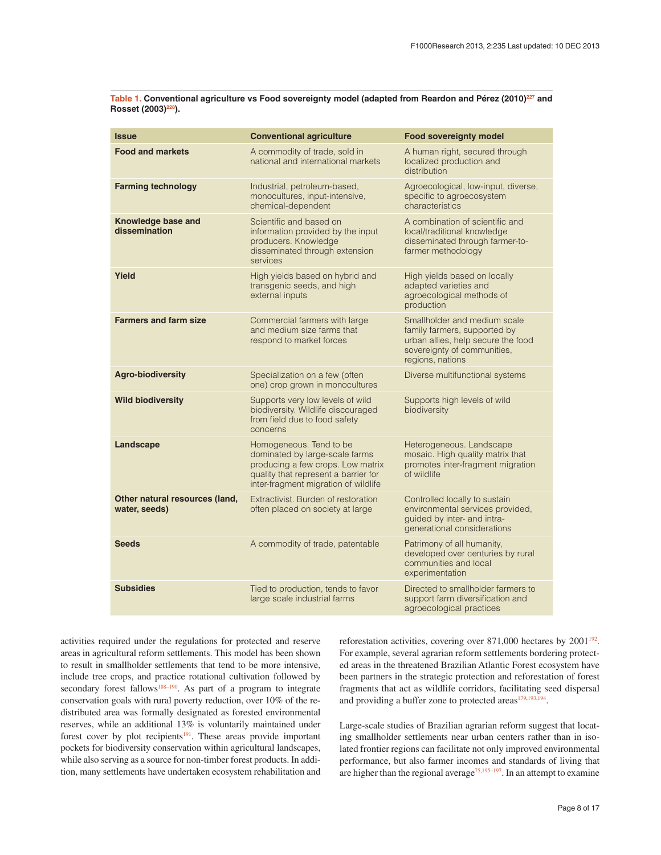<span id="page-9-0"></span>

| Table 1. Conventional agriculture vs Food sovereignty model (adapted from Reardon and Pérez (2010) <sup>227</sup> and |  |
|-----------------------------------------------------------------------------------------------------------------------|--|
| Rosset $(2003)^{228}$ ).                                                                                              |  |

| <b>Issue</b>                                    | <b>Conventional agriculture</b>                                                                                                                                                | <b>Food sovereignty model</b>                                                                                                                         |
|-------------------------------------------------|--------------------------------------------------------------------------------------------------------------------------------------------------------------------------------|-------------------------------------------------------------------------------------------------------------------------------------------------------|
| <b>Food and markets</b>                         | A commodity of trade, sold in<br>national and international markets                                                                                                            | A human right, secured through<br>localized production and<br>distribution                                                                            |
| <b>Farming technology</b>                       | Industrial, petroleum-based,<br>monocultures, input-intensive,<br>chemical-dependent                                                                                           | Agroecological, low-input, diverse,<br>specific to agroecosystem<br>characteristics                                                                   |
| Knowledge base and<br>dissemination             | Scientific and based on<br>information provided by the input<br>producers. Knowledge<br>disseminated through extension<br>services                                             | A combination of scientific and<br>local/traditional knowledge<br>disseminated through farmer-to-<br>farmer methodology                               |
| Yield                                           | High yields based on hybrid and<br>transgenic seeds, and high<br>external inputs                                                                                               | High yields based on locally<br>adapted varieties and<br>agroecological methods of<br>production                                                      |
| <b>Farmers and farm size</b>                    | Commercial farmers with large<br>and medium size farms that<br>respond to market forces                                                                                        | Smallholder and medium scale<br>family farmers, supported by<br>urban allies, help secure the food<br>sovereignty of communities,<br>regions, nations |
| <b>Agro-biodiversity</b>                        | Specialization on a few (often<br>one) crop grown in monocultures                                                                                                              | Diverse multifunctional systems                                                                                                                       |
| <b>Wild biodiversity</b>                        | Supports very low levels of wild<br>biodiversity. Wildlife discouraged<br>from field due to food safety<br>concerns                                                            | Supports high levels of wild<br>biodiversity                                                                                                          |
| Landscape                                       | Homogeneous. Tend to be<br>dominated by large-scale farms<br>producing a few crops. Low matrix<br>quality that represent a barrier for<br>inter-fragment migration of wildlife | Heterogeneous. Landscape<br>mosaic. High quality matrix that<br>promotes inter-fragment migration<br>of wildlife                                      |
| Other natural resources (land,<br>water, seeds) | Extractivist. Burden of restoration<br>often placed on society at large                                                                                                        | Controlled locally to sustain<br>environmental services provided,<br>guided by inter- and intra-<br>generational considerations                       |
| <b>Seeds</b>                                    | A commodity of trade, patentable                                                                                                                                               | Patrimony of all humanity,<br>developed over centuries by rural<br>communities and local<br>experimentation                                           |
| <b>Subsidies</b>                                | Tied to production, tends to favor<br>large scale industrial farms                                                                                                             | Directed to smallholder farmers to<br>support farm diversification and<br>agroecological practices                                                    |

activities required under the regulations for protected and reserve areas in agricultural reform settlements. This model has been shown to result in smallholder settlements that tend to be more intensive, include tree crops, and practice rotational cultivation followed by secondary forest fallows<sup>188–190</sup>. As part of a program to integrate conservation goals with rural poverty reduction, over 10% of the redistributed area was formally designated as forested environmental reserves, while an additional 13% is voluntarily maintained under forest cover by plot recipients<sup>[191](#page-16-0)</sup>. These areas provide important pockets for biodiversity conservation within agricultural landscapes, while also serving as a source for non-timber forest products. In addition, many settlements have undertaken ecosystem rehabilitation and reforestation activities, covering over 871,000 hectares by 2001<sup>192</sup>. For example, several agrarian reform settlements bordering protected areas in the threatened Brazilian Atlantic Forest ecosystem have been partners in the strategic protection and reforestation of forest fragments that act as wildlife corridors, facilitating seed dispersal and providing a buffer zone to protected areas<sup>[179,](#page-15-0)[193,194](#page-16-0)</sup>.

Large-scale studies of Brazilian agrarian reform suggest that locating smallholder settlements near urban centers rather than in isolated frontier regions can facilitate not only improved environmental performance, but also farmer incomes and standards of living that are higher than the regional average<sup>75,195–197</sup>. In an attempt to examine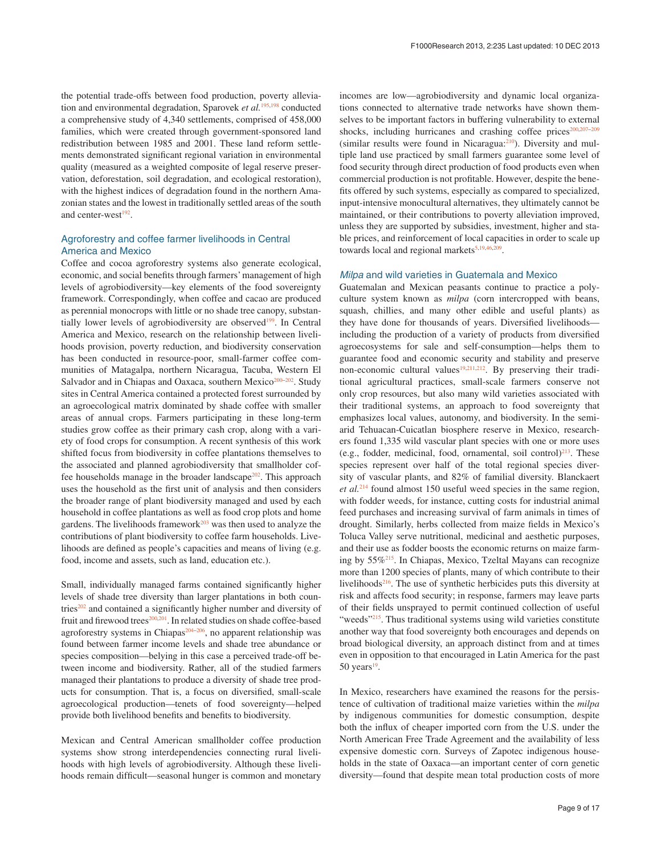the potential trade-offs between food production, poverty alleviation and environmental degradation, Sparovek *et al.*[195,198](#page-16-0) conducted a comprehensive study of 4,340 settlements, comprised of 458,000 families, which were created through government-sponsored land redistribution between 1985 and 2001. These land reform settlements demonstrated significant regional variation in environmental quality (measured as a weighted composite of legal reserve preservation, deforestation, soil degradation, and ecological restoration), with the highest indices of degradation found in the northern Amazonian states and the lowest in traditionally settled areas of the south and center-west $192$ .

#### Agroforestry and coffee farmer livelihoods in Central America and Mexico

Coffee and cocoa agroforestry systems also generate ecological, economic, and social benefits through farmers' management of high levels of agrobiodiversity—key elements of the food sovereignty framework. Correspondingly, when coffee and cacao are produced as perennial monocrops with little or no shade tree canopy, substantially lower levels of agrobiodiversity are observed $199$ . In Central America and Mexico, research on the relationship between livelihoods provision, poverty reduction, and biodiversity conservation has been conducted in resource-poor, small-farmer coffee communities of Matagalpa, northern Nicaragua, Tacuba, Western El Salvador and in Chiapas and Oaxaca, southern Mexico<sup>[200–202](#page-16-0)</sup>. Study sites in Central America contained a protected forest surrounded by an agroecological matrix dominated by shade coffee with smaller areas of annual crops. Farmers participating in these long-term studies grow coffee as their primary cash crop, along with a variety of food crops for consumption. A recent synthesis of this work shifted focus from biodiversity in coffee plantations themselves to the associated and planned agrobiodiversity that smallholder coffee households manage in the broader landscape<sup>202</sup>. This approach uses the household as the first unit of analysis and then considers the broader range of plant biodiversity managed and used by each household in coffee plantations as well as food crop plots and home gardens. The livelihoods framework<sup>203</sup> was then used to analyze the contributions of plant biodiversity to coffee farm households. Livelihoods are defined as people's capacities and means of living (e.g. food, income and assets, such as land, education etc.).

Small, individually managed farms contained significantly higher levels of shade tree diversity than larger plantations in both countries $202$  and contained a significantly higher number and diversity of fruit and firewood trees<sup>200,201</sup>. In related studies on shade coffee-based agroforestry systems in Chiapas<sup>204-206</sup>, no apparent relationship was found between farmer income levels and shade tree abundance or species composition—belying in this case a perceived trade-off between income and biodiversity. Rather, all of the studied farmers managed their plantations to produce a diversity of shade tree products for consumption. That is, a focus on diversified, small-scale agroecological production—tenets of food sovereignty—helped provide both livelihood benefits and benefits to biodiversity.

Mexican and Central American smallholder coffee production systems show strong interdependencies connecting rural livelihoods with high levels of agrobiodiversity. Although these livelihoods remain difficult—seasonal hunger is common and monetary incomes are low—agrobiodiversity and dynamic local organizations connected to alternative trade networks have shown themselves to be important factors in buffering vulnerability to external shocks, including hurricanes and crashing coffee prices $200,207-209$ (similar results were found in Nicaragua:[210\)](#page-16-0). Diversity and multiple land use practiced by small farmers guarantee some level of food security through direct production of food products even when commercial production is not profitable. However, despite the benefits offered by such systems, especially as compared to specialized, input-intensive monocultural alternatives, they ultimately cannot be maintained, or their contributions to poverty alleviation improved, unless they are supported by subsidies, investment, higher and stable prices, and reinforcement of local capacities in order to scale up towards local and regional markets<sup>5,19,46,[209](#page-16-0)</sup>.

#### *Milpa* and wild varieties in Guatemala and Mexico

Guatemalan and Mexican peasants continue to practice a polyculture system known as *milpa* (corn intercropped with beans, squash, chillies, and many other edible and useful plants) as they have done for thousands of years. Diversified livelihoods including the production of a variety of products from diversified agroecosystems for sale and self-consumption—helps them to guarantee food and economic security and stability and preserve non-economic cultural values<sup>19,211,212</sup>. By preserving their traditional agricultural practices, small-scale farmers conserve not only crop resources, but also many wild varieties associated with their traditional systems, an approach to food sovereignty that emphasizes local values, autonomy, and biodiversity. In the semiarid Tehuacan-Cuicatlan biosphere reserve in Mexico, researchers found 1,335 wild vascular plant species with one or more uses (e.g., fodder, medicinal, food, ornamental, soil control) $^{213}$  $^{213}$  $^{213}$ . These species represent over half of the total regional species diversity of vascular plants, and 82% of familial diversity. Blanckaert *et al.*[214](#page-16-0) found almost 150 useful weed species in the same region, with fodder weeds, for instance, cutting costs for industrial animal feed purchases and increasing survival of farm animals in times of drought. Similarly, herbs collected from maize fields in Mexico's Toluca Valley serve nutritional, medicinal and aesthetic purposes, and their use as fodder boosts the economic returns on maize farming by 55[%215.](#page-16-0) In Chiapas, Mexico, Tzeltal Mayans can recognize more than 1200 species of plants, many of which contribute to their livelihoods $216$ . The use of synthetic herbicides puts this diversity at risk and affects food security; in response, farmers may leave parts of their fields unsprayed to permit continued collection of useful "weeds"<sup>215</sup>. Thus traditional systems using wild varieties constitute another way that food sovereignty both encourages and depends on broad biological diversity, an approach distinct from and at times even in opposition to that encouraged in Latin America for the past  $50$  years<sup>[19](#page-12-0)</sup>.

In Mexico, researchers have examined the reasons for the persistence of cultivation of traditional maize varieties within the *milpa* by indigenous communities for domestic consumption, despite both the influx of cheaper imported corn from the U.S. under the North American Free Trade Agreement and the availability of less expensive domestic corn. Surveys of Zapotec indigenous households in the state of Oaxaca—an important center of corn genetic diversity—found that despite mean total production costs of more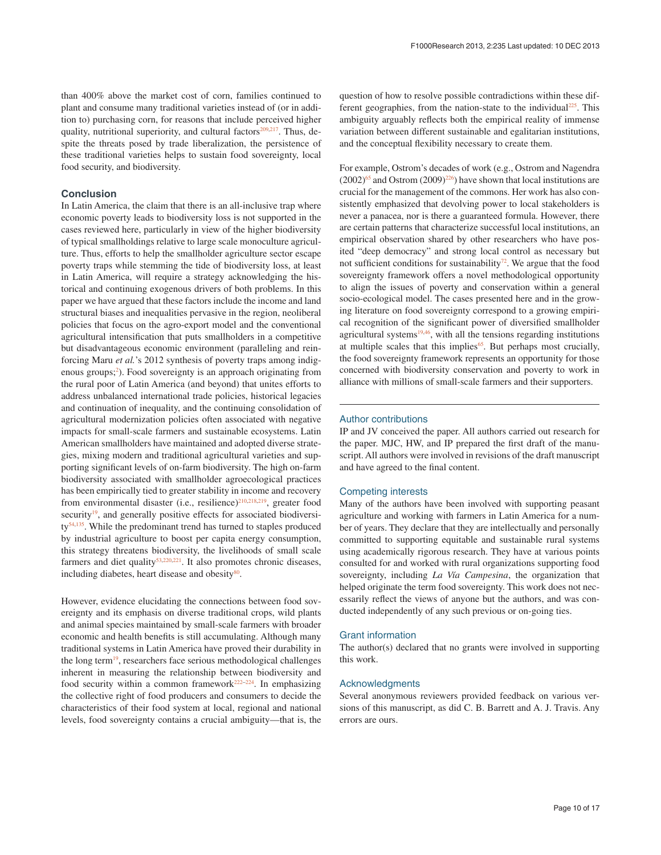than 400% above the market cost of corn, families continued to plant and consume many traditional varieties instead of (or in addition to) purchasing corn, for reasons that include perceived higher quality, nutritional superiority, and cultural factors<sup>209,217</sup>. Thus, despite the threats posed by trade liberalization, the persistence of these traditional varieties helps to sustain food sovereignty, local food security, and biodiversity.

#### **Conclusion**

In Latin America, the claim that there is an all-inclusive trap where economic poverty leads to biodiversity loss is not supported in the cases reviewed here, particularly in view of the higher biodiversity of typical smallholdings relative to large scale monoculture agriculture. Thus, efforts to help the smallholder agriculture sector escape poverty traps while stemming the tide of biodiversity loss, at least in Latin America, will require a strategy acknowledging the historical and continuing exogenous drivers of both problems. In this paper we have argued that these factors include the income and land structural biases and inequalities pervasive in the region, neoliberal policies that focus on the agro-export model and the conventional agricultural intensification that puts smallholders in a competitive but disadvantageous economic environment (paralleling and reinforcing Maru *et al.*'s 2012 synthesis of poverty traps among indigenous groups;<sup>2</sup>). Food sovereignty is an approach originating from the rural poor of Latin America (and beyond) that unites efforts to address unbalanced international trade policies, historical legacies and continuation of inequality, and the continuing consolidation of agricultural modernization policies often associated with negative impacts for small-scale farmers and sustainable ecosystems. Latin American smallholders have maintained and adopted diverse strategies, mixing modern and traditional agricultural varieties and supporting significant levels of on-farm biodiversity. The high on-farm biodiversity associated with smallholder agroecological practices has been empirically tied to greater stability in income and recovery from environmental disaster (i.e., resilience) $210,218,219$  $210,218,219$ , greater food security<sup>19</sup>, and generally positive effects for associated biodiversi-ty<sup>[54](#page-13-0)[,135](#page-14-0)</sup>. While the predominant trend has turned to staples produced by industrial agriculture to boost per capita energy consumption, this strategy threatens biodiversity, the livelihoods of small scale farmers and diet quality<sup>[53,](#page-13-0)[220,221](#page-16-0)</sup>. It also promotes chronic diseases, including diabetes, heart disease and obesity<sup>80</sup>.

However, evidence elucidating the connections between food sovereignty and its emphasis on diverse traditional crops, wild plants and animal species maintained by small-scale farmers with broader economic and health benefits is still accumulating. Although many traditional systems in Latin America have proved their durability in the long term[19,](#page-12-0) researchers face serious methodological challenges inherent in measuring the relationship between biodiversity and food security within a common framework $222-224$ . In emphasizing the collective right of food producers and consumers to decide the characteristics of their food system at local, regional and national levels, food sovereignty contains a crucial ambiguity—that is, the

question of how to resolve possible contradictions within these different geographies, from the nation-state to the individual<sup>225</sup>. This ambiguity arguably reflects both the empirical reality of immense variation between different sustainable and egalitarian institutions, and the conceptual flexibility necessary to create them.

For example, Ostrom's decades of work (e.g., Ostrom and Nagendra  $(2002)^{65}$  and Ostrom  $(2009)^{226}$ ) have shown that local institutions are crucial for the management of the commons. Her work has also consistently emphasized that devolving power to local stakeholders is never a panacea, nor is there a guaranteed formula. However, there are certain patterns that characterize successful local institutions, an empirical observation shared by other researchers who have posited "deep democracy" and strong local control as necessary but not sufficient conditions for sustainability $72$ . We argue that the food sovereignty framework offers a novel methodological opportunity to align the issues of poverty and conservation within a general socio-ecological model. The cases presented here and in the growing literature on food sovereignty correspond to a growing empirical recognition of the significant power of diversified smallholder agricultural systems $19,46$ , with all the tensions regarding institutions at multiple scales that this implies<sup>65</sup>. But perhaps most crucially, the food sovereignty framework represents an opportunity for those concerned with biodiversity conservation and poverty to work in alliance with millions of small-scale farmers and their supporters.

#### Author contributions

IP and JV conceived the paper. All authors carried out research for the paper. MJC, HW, and IP prepared the first draft of the manuscript. All authors were involved in revisions of the draft manuscript and have agreed to the final content.

#### Competing interests

Many of the authors have been involved with supporting peasant agriculture and working with farmers in Latin America for a number of years. They declare that they are intellectually and personally committed to supporting equitable and sustainable rural systems using academically rigorous research. They have at various points consulted for and worked with rural organizations supporting food sovereignty, including *La Vía Campesina*, the organization that helped originate the term food sovereignty. This work does not necessarily reflect the views of anyone but the authors, and was conducted independently of any such previous or on-going ties.

#### Grant information

The author(s) declared that no grants were involved in supporting this work.

#### Acknowledgments

Several anonymous reviewers provided feedback on various versions of this manuscript, as did C. B. Barrett and A. J. Travis. Any errors are ours.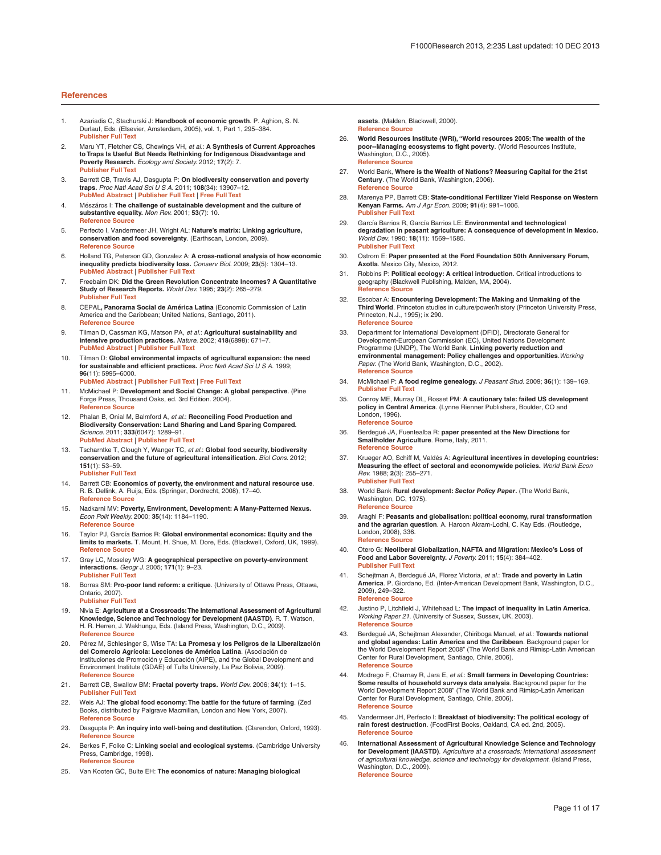#### <span id="page-12-0"></span>**References**

- 1. Azariadis C, Stachurski J: **Handbook of economic growth**. P. Aghion, S. N. Durlauf, Eds. (Elsevier, Amsterdam, 2005), vol. 1, Part 1, 295–384. **[Publisher Full Text](http://dx.doi.org/10.1016/S1574-0684(05)01005-1)**
- 2. Maru YT, Fletcher CS, Chewings VH, *et al.*: **A Synthesis of Current Approaches to Traps Is Useful But Needs Rethinking for Indigenous Disadvantage and Poverty Research.** *Ecology and Society.* 2012; **17**(2): 7. **[Publisher Full Text](http://dx.doi.org/10.5751/ES-04793-170207)**
- 3. Barrett CB, Travis AJ, Dasgupta P: **On biodiversity conservation and poverty traps.** *Proc Natl Acad Sci U S A.* 2011; **108**(34): 13907–12. **[PubMed Abstract](http://www.ncbi.nlm.nih.gov/pubmed/21873176)** | **[Publisher Full Text](http://dx.doi.org/10.1073/pnas.1011521108)** | **[Free Full Text](http://www.ncbi.nlm.nih.gov/pmc/articles/3161563)**
- 4. Mészáros I: **The challenge of sustainable development and the culture of substantive equality.** *Mon Rev.* 2001; **53**(7): 10. **[Reference Source](http://monthlyreview.org/2001/12/01/the-challenge-of-sustainable-development-and-the-culture-of-substantive-equality)**
- 5. Perfecto I, Vandermeer JH, Wright AL: **Nature's matrix: Linking a[g](http://books.google.co.in/books/about/Nature_s_Matrix.html?id=lcPq48XHgWcC&redir_esc=y)riculture, conservation and food sovereignty**. (Earthscan, London, 2009). **[Reference Source](http://books.google.co.in/books/about/Nature_s_Matrix.html?id=lcPq48XHgWcC&redir_esc=y)**
- 6. Holland TG, Peterson GD, Gonzalez A: **A cross-national analysis of how economic inequality predicts biodiversity loss.** *Conserv Biol.* 2009; **23**(5): 1304–13. **[PubMed Abstract](http://www.ncbi.nlm.nih.gov/pubmed/19765041)** | **[Publisher Full Text](http://dx.doi.org/10.1111/j.1523-1739.2009.01207.x)**
- 7. Freebairn DK: **Did the Green Revolution Concentrate Incomes? A Quantitative Study of Research Reports.** *World Dev.* 1995; **23**(2): 265–279. **[Publisher Full Text](http://dx.doi.org/10.1016/0305-750X(94)00116-G)**
- 8. CEPAL**, Panorama Social de América Latina** (Economic Commission of Latin America and the Caribbean; United Nations, Santiago, 2011). **[Reference Source](http://www.cepal.org/cgi-bin/getProd.asp?xml=/publicaciones/xml/1/45171/P45171.xml&xsl=/dds/tpl/p9f.xsl&base=/dds/tpl/top-bottom.xslt)**
- 9. Tilman D, Cassman KG, Matson PA, *et al.*: **Agricultural sustainability and intensive production practices.** *Nature.* 2002; **418**(6898): 671–7. **[PubMed Abstract](http://www.ncbi.nlm.nih.gov/pubmed/12167873)** | **[Publisher Full Text](http://dx.doi.org/10.1038/nature01014)**
- 10. Tilman D: **Global environmental impacts of agricultural expansion: the need for sustainable and efficient practices.** *Proc Natl Acad Sci U S A.* 1999; **96**(11): 5995–6000. **[PubMed Abstract](http://www.ncbi.nlm.nih.gov/pubmed/10339530)** | **[Publisher Full Text](http://dx.doi.org/10.1073/pnas.96.11.5995)** | **[Free Full Text](http://www.ncbi.nlm.nih.gov/pmc/articles/34218)**
- 11. McMichael P: **Development and Social Change: A global perspective**. (Pine Forge Press, Thousand Oaks, ed. 3rd Edition. 2004). **[Reference Source](http://www.scribd.com/doc/39437494/McMichael-Development-and-Social-Change-a-global-perspective-3rd-ed)**
- 12. Phalan B, Onial M, Balmford A, *et al.*: **Reconciling Food Production and Biodiversity Conservation: Land Sharing and Land Sparing Compared.** *Science.* 2011; **333**(6047): 1289–91. **[PubMed Abstract](http://www.ncbi.nlm.nih.gov/pubmed/21885781)** | **[Publisher Full Text](http://dx.doi.org/10.1126/science.1208742)**
- 13. Tscharntke T, Clough Y, Wanger TC, *et al.*: **Global food security, biodiversity conservation and the future of agricultural intensification.** *Biol Cons.* 2012; **151**(1): 53–59. **[Publisher Full Text](http://dx.doi.org/10.1016/j.biocon.2012.01.068)**
- 14. Barrett CB: **Economics of poverty, the environment and natural resource use**. R. B. Dellink, A. Ruijs, Eds. (Springer, Dordrecht, 2008), 17–40. **[Reference Source](http://www.springer.com/economics/environmental/book/978-1-4020-8302-0)**
- 15. Nadkarni MV: **Poverty, Environment, Development: A Many-Patterned Nexus.** *Econ Polit Weekly.* 2000; **35**(14): 1184–1190. **[Reference Source](http://www.jstor.org/discover/10.2307/4409113?uid=3738256&uid=2129&uid=2&uid=70&uid=4&sid=21102835191191)**
- 16. Taylor PJ, García Barrios R: **Global environmental economics: Equity and the limits to markets.** T. Mount, H. Shue, M. Dore, Eds. (Blackwell, Oxford, UK, 1999). **[Reference Source](http://trove.nla.gov.au/work/8363678?q=isbn9781557865113&c=book&versionId=9643786)**
- 17. Gray LC, Moseley WG: **A geographical perspective on poverty-environment interactions.** *Geogr J.* 2005; **171**(1): 9–23. **[Publisher Full Text](http://dx.doi.org/10.1111/j.1475-4959.2005.00146.x)**
- 18. Borras SM: **Pro-poor land reform: a critique**. (University of Ottawa Press, Ottawa, Ontario, 2007). **[Publisher Full Text](http://dx.doi.org/10.1177/0486613409357425)**
- 19. Nivia E: **Agriculture at a Crossroads: The International Assessment of Agricultural Knowledge, Science and Technology for Development (IAASTD)**. R. T. Watson, H. R. Herren, J. Wakhungu, Eds. (Island Press, Washington, D.C., 2009). **[Reference Source](http://www.unep.org/dewa/agassessment/reports/IAASTD/EN/Agricultureat a Crossroads_Synthesis Report (English).pdf)**
- 20. Pérez M, Schlesinger S, Wise TA: **La Promesa y los Peligros de la Liberalización del Comercio Agrícola: Lecciones de América Latina**. (Asociación de<br>Instituciones de Promoción y Educación (AIPE), and the Global Development and Environment Institute (GDAE) of Tufts University, La Paz Bolivia, 2009). **[Reference Source](http://www.aipe.org.bo/sac/public/mostrar_plugin.php?symbolic_name=LST_PUBLICACIONES_AIPE&id_plugin=86&lang=es&id_publicacion_aipe=174&referer=../../sac/public/mostrar_plugin.php)**
- 21. Barrett CB, Swallow BM: **Fractal poverty traps.** *World Dev.* 2006; **34**(1): 1–15. **[Publisher Full Text](http://dx.doi.org/10.1016/j.worlddev.2005.06.008)**
- 22. Weis AJ: **The global food economy: The battle for the future of farming**. (Zed Books, distributed by Palgrave Macmillan, London and New York, 2007). **[Reference Source](http://www.zedbooks.co.uk/paperback/the-global-food-economy)**
- 23. Dasgupta P: **An inquiry into well-being and destitution**. (Clarendon, Oxford, 1993). **[Reference Source](http://books.google.co.in/books/about/An_Inquiry_Into_Well_being_and_Destituti.html?id=5wDB5N61unIC&redir_esc=y)**
- 24. Berkes F, Folke C: **Linking social and ecological systems**. (Cambridge University Press, Cambridge, 1998). **[Reference Source](http://www.ecologyandsociety.org/vol4/iss2/art5/#author)**
- 25. Van Kooten GC, Bulte EH: **The economics of nature: Managing biological**

**assets**. (Malden, Blackwell, 2000).

**[Reference Source](http://www.econbiz.de/en/search/detailed-view/doc/all/the-economics-of-nature-managing-biological-assets-vankooten-gerrit-cornelis/10001396588/?no_cache=1)** 26. **World Resources Institute (WRI), "World resources 2005: The wealth of the** 

- **poor--Managing ecosyst[e](http://www.wri.org/publication/world-resources-2005-wealth-poor)ms to fight poverty**. (World Resources Institute, Washington, D.C., 2005). **[Reference Source](http://www.wri.org/publication/world-resources-2005-wealth-poor)**
- 27. World Bank, **Where is the Wealth of Nations? Measuring Capital for the 21st Century**. (The World Bank, Washington, 2006). **[Reference Source](http://books.google.co.in/books/about/Where_Is_the_Wealth_of_Nations.html?id=4bJQge7WFHAC&redir_esc=y)**
- 28. Marenya PP, Barrett CB: **State-conditional Fertilizer Yield Response on Western Kenyan Farms.** *Am J Agr Econ.* 2009; **91**(4): 991–1006. **[Publisher Full Text](http://dx.doi.org/10.1111/j.1467-8276.2009.01313.x)**
- 29. García Barrios R, García Barrios LE: **Environmental and technological degradation in peasant agriculture: [A](http://dx.doi.org/10.1016/0305-750X(90)90044-X) consequence of development in Mexico.** *World Dev.* 1990; **18**(11): 1569–1585. **[Publisher Full Text](http://dx.doi.org/10.1016/0305-750X(90)90044-X)**
- 30. Ostrom E: **Paper presented at the Ford Foundation 50th Anniversary Forum, Axotla**. Mexico City, Mexico, 2012.
- 31. Robbins P: **Political ecology: A critical introduction**. Critical introductions to geography (Blackwell Publishing, Malden, MA, 2004). **[Reference Source](http://www.jstor.org/discover/10.2307/30033992?uid=3738256&uid=2129&uid=2&uid=70&uid=4&sid=21102878630321)**
- 32. Escobar A: **Encountering Development: The Making and Unmaking of the Third World**. Princeton studies in culture/power/history (Princeton University Press, Princeton, N.J., 1995); ix 290. **[Reference Source](http://www.questia.com/library/103227750/encountering-development-the-making-and-unmaking)**
- 33. Department for International Development (DFID), Directorate General for Development-European Commission (EC), United Nations Development Programme (UNDP), The World Bank, **Linking poverty reduction and environmental management: Policy challenges [an](http://www-wds.worldbank.org/servlet/WDSContentServer/WDSP/IB/2002/09/27/000094946_02091704130739/Rendered/PDF/multi0page.pdf)d opportunities**.*Working Paper.* (The World Bank, Washington, D.C., 2002). **[Reference Source](http://www-wds.worldbank.org/servlet/WDSContentServer/WDSP/IB/2002/09/27/000094946_02091704130739/Rendered/PDF/multi0page.pdf)**
- 34. McMichael P: **A food regime genealogy.** *J Peasant Stud.* 2009; **36**(1): 139–169. **[Publisher Full Text](http://dx.doi.org/10.1080/03066150902820354)**
- 35. Conroy ME, Murray DL, Rosset PM: **A cautionary tale: failed US development policy in Central America**. (Lynne Rienner Publishers, Boulder, CO and London, 1996). **[Reference Source](https://www.rienner.com/title/A_Cautionary_Tale_Failed_U_S_Development_Policy_in_Central_America)**
- 36. Berdegué JA, Fuentealba R: **paper presented at the New Directions for Smallholder Agriculture**. Rome, Italy, 2011. **[Reference Source](http://www3.imperial.ac.uk/newsandeventspggrp/imperialcollege/centres/africanagriculturaldevelopment/newssummary/news_18-3-2011-14-6-44?newsid=97622)**
- 37. Krueger AO, Schiff M, Valdés A: **Agricultural incentives in developing countries: Measuring the effect of sectoral and economywide policies.** *World Bank Econ Rev.* 1988; **2**(3): 255–271. **[Publisher Full Text](http://dx.doi.org/10.1093/wber/2.3.255)**
- 38. World Bank **Rural development:** *Sector Policy Paper***.** (The World Bank, Washington, DC, 1975). **[Reference Source](http://books.google.co.in/books/about/Rural_Development.html?id=zGdCmAEACAAJ&redir_esc=y)**
- 39. Araghi F: **Peasants and globalisation: political economy, rural transformation and the agrarian question**. A. Haroon Akram-Lodhi, C. Kay Eds. (Routledge, London, 2008), 336. **[Reference Source](http://www.routledge.com/books/details/9780415446297/)**
- 40. Otero G: **Neoliberal Globalization, NAFTA and Migration: Mexico's Loss of Food and Labor Sovereignty.** *J Poverty.* 2011; **15**(4): 384–402. **[Publisher Full Text](http://dx.doi.org/10.1080/10875549.2011.614514)**
- 41. Schejtman A, Berdegué JA, Florez Victoria, *et al.*: **Trade and poverty in Latin America**. P. Giordano, Ed. (Inter-American Development Bank, Washington, D.C., 2009), 249–322. **[Reference Source](http://www.iadb.org/en/publications/publication-detail,7101.html?id=13088)**
- 42. Justino P, Litchfield J, Whitehead L: **The impact of inequalit[y](http://www.sussex.ac.uk/Units/PRU/wps/wp21.pdf) in Latin America**. *Working Paper 21*. (University of Sussex, Sussex, UK, 2003). **[Reference Source](http://www.sussex.ac.uk/Units/PRU/wps/wp21.pdf)**
- 43. Berdegué JA, Schejtman Alexander, Chiriboga Manuel, *et al.*: **Towards national and global agendas: Latin America and the Caribbean**. Background paper for the World Development Report 2008" (The World Bank and Rimisp-Latin American Center for Rural Development, Santiago, Chile, 2006). **[Reference Source](https://openknowledge.worldbank.org/handle/10986/9241?show=full)**
- Modrego F, Charnay R, Jara E, et al.: **Small farmers in Developing Countries: Some results of household surveys data analysis**. Background paper for the World Development Report 2008" (The World Bank and Rimisp-Latin American Center for Rural Development, Santiago, Chile, 2006). **[Reference Source](https://openknowledge.worldbank.org/handle/10986/9205)**
- 45. Vandermeer JH, Perfecto I: **Breakfast of biodiversity: The political ecology of rain forest destruction**. (FoodFirst Books, Oakland, CA ed. 2nd, 2005). **[Reference Source](http://www.foodfirst.org/en/store/book/Breakfast_of_Biodiversity)**
- 46. **International Assessment of Agricultural Knowledge Science and Technology for Development (IAASTD)**. *Agriculture at a crossroads: International assessment of agricultural knowledge, science and technology for development*. (Island Press, Washington, D.C., 2009). **[Reference Source](http://www.unep.org/dewa/agassessment/reports/IAASTD/EN/Agriculture at a Crossroads_Global Report (English).pdf)**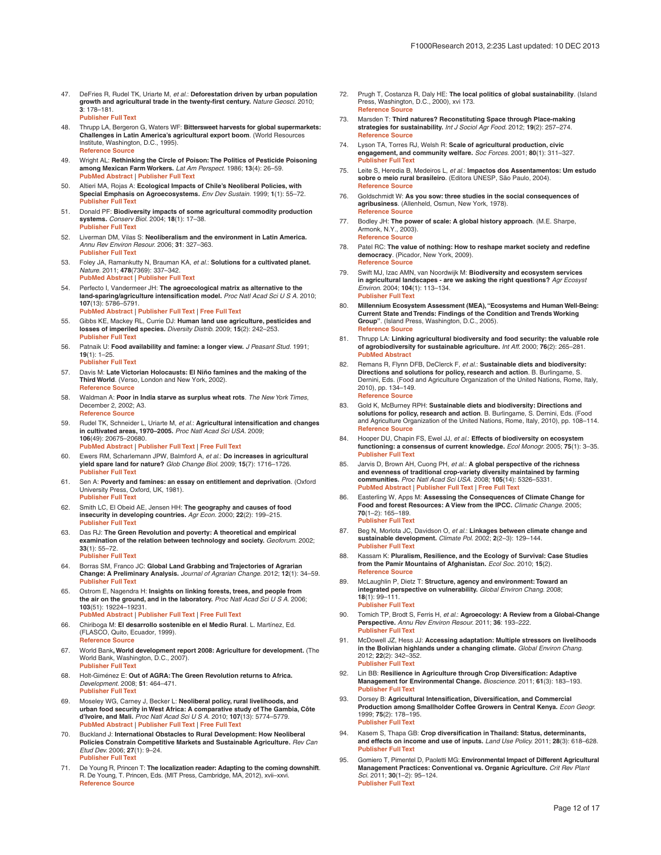- <span id="page-13-0"></span>47. DeFries R, Rudel TK, Uriarte M, *et al.*: **Deforestation driven by urban population growth and agricultural trade in the twenty-first century.** *Nature Geosci.* 2010; **3**: 178–181. **[Publisher Full Text](http://dx.doi.org/10.1038/ngeo756)**
- 48. Thrupp LA, Bergeron G, Waters WF: **Bittersweet harvests for global supermarkets: Challenges in Latin America's agricultural export boom**. (World Resources Institute, Washington, D.C., 1995). **[Reference Source](http://www.wri.org/publication/bittersweet-harvests-global-supermarkets)**
- 49. Wright AL: **Rethinking the Circle of Poison: The Politics of Pesticide Poisoning among Mexican Farm Workers.** *Lat Am Perspect.* 1986; **13**(4): 26–59. **[PubMed Abstract](http://www.ncbi.nlm.nih.gov/pubmed/11617577)** | **[Publisher Full Text](http://dx.doi.org/10.1177/0094582X8601300403)**
- 50. Altieri MA, Rojas A: **Ecological Impacts of Chile's Neoliberal Policies, with Special Emphasis on Agroecosystems.** *Env Dev Sustain.* 1999; **1**(1): 55–72. **[Publisher Full Text](http://dx.doi.org/10.1023/A:1010063724280)**
- 51. Donald PF: **Biodiversity impacts of some agricultural commodity production systems.** *Conserv Biol.* 2004; **18**(1): 17–38. **[Publisher Full Text](http://dx.doi.org/10.1111/j.1523-1739.2004.01803.x)**
- 52. Liverman DM, Vilas S: **Neoliberalism and the environment in Latin America.** *Annu Rev Environ Resour.* 2006; **31**: 327–363. **[Publisher Full Text](http://dx.doi.org/10.1146/annurev.energy.29.102403.140729)**
- 53. Foley JA, Ramankutty N, Brauman KA, *et al.*: **Solutions for a cultivated planet.** *Nature.* 2011; **478**(7369): 337–342. **[PubMed Abstract](http://www.ncbi.nlm.nih.gov/pubmed/21993620)** | **[Publisher Full Text](http://dx.doi.org/10.1038/nature10452)**
- 54. Perfecto I, Vandermeer JH: **The agroecological matrix as alternative to the land-sparing/agriculture intensification model.** *Proc Natl Acad Sci U S A.* 2010; **107**(13): 5786–5791. **[PubMed Abstract](http://www.ncbi.nlm.nih.gov/pubmed/20339080)** | **[Publisher Full Text](http://dx.doi.org/10.1073/pnas.0905455107)** | **[Free Full Text](http://www.ncbi.nlm.nih.gov/pmc/articles/2851926)**
- 55. Gibbs KE, Mackey RL, Currie DJ: **Human land use agriculture, pesticides and losses of imperiled species.** *Diversity Distrib.* 2009; **15**(2): 242–253. **[Publisher Full Text](http://dx.doi.org/10.1111/j.1472-4642.2008.00543.x)**
- 56. Patnaik U: **Food availability and famine: a longer view.** *J Peasant Stud.* 1991; **19**(1): 1–25.
	- **[Publisher Full Text](http://dx.doi.org/10.1080/03066159108438469)**
- 57. Davis M: **Late Victorian Holocausts: El Niño famines and the making of the Third World**. (Verso, London and New York, 2002). **[Reference Source](http://books.google.co.in/books/about/Late_Victorian_Holocausts.html?id=2LjYUY3LHkoC&redir_esc=y)**
- 58. Waldman A: **Poor in India starve as surplus wheat rots**. *The New York Times*, December 2, 2002; A3. **[Reference Source](http://www.nytimes.com/2002/12/02/world/poor-in-india-starve-as-surplus-wheat-rots.html?pagewanted=all&src=pm)**
- 59. Rudel TK, Schneider L, Uriarte M, *et al.*: **Agricultural intensification and changes in cultivated areas, 1970–2005.** *Proc Natl Acad Sci USA.* 2009; **106**(49): 20675–20680.
	- **[PubMed Abstract](http://www.ncbi.nlm.nih.gov/pubmed/19955435)** | **[Publisher Full Text](http://dx.doi.org/10.1073/pnas.0812540106)** | **[Free Full Text](http://www.ncbi.nlm.nih.gov/pmc/articles/2791618)**
- 60. Ewers RM, Scharlemann JPW, Balmford A, *et al.*: **Do increases in agricu[lt](http://dx.doi.org/10.1111/j.1365-2486.2009.01849.x)ural yield spare land for nature?** *Glob Change Biol.* 2009; **15**(7): 1716–1726. **[Publisher Full Text](http://dx.doi.org/10.1111/j.1365-2486.2009.01849.x)**
- 61. Sen A: **Poverty and famines: an essay on entitlement and deprivation**. (Oxford University Press, Oxford, UK, 1981). **[Publisher Full Text](http://dx.doi.org/10.1017/S0022050700028886)**
- 62. Smith LC, El Obeid AE, Jensen HH: **The geography and causes of food insecurity in developing countries.** *Agr Econ.* 2000; **22**(2): 199–215. **[Publisher Full Text](http://dx.doi.org/10.1016/S0169-5150(99)00051-1)**
- 63. Das RJ: **The Green Revolution and poverty: A theoretical and empirical examination of the relation between technology and society.** *Geoforum.* 2002; **33**(1): 55–72. **[Publisher Full Text](http://dx.doi.org/10.1016/S0016-7185%2801%2900006-9)**
- 64. Borras SM, Franco JC: **Global Land Grabbing and Trajectories of Agrarian Change: A Preliminary Analysis.** *Journal of Agrarian Change.* 2012; **12**(1): 34–59. **[Publisher Full Text](http://dx.doi.org/10.1111/j.1471-0366.2011.00339.x)**
- 65. Ostrom E, Nagendra H: **Insights on linking forests, trees, and people from the air on the ground, and in the laboratory.** *Proc Natl Acad Sci U S A.* 2006; **103**(51): 19224–19231. **[PubMed Abstract](http://www.ncbi.nlm.nih.gov/pubmed/17088538)** | **[Publisher Full Text](http://dx.doi.org/10.1073/pnas.0607962103)** | **[Free Full Text](http://www.ncbi.nlm.nih.gov/pmc/articles/1838564)**
- 66. Chiriboga M: **El desarrollo sostenible en el Medio Rural**. L. Martínez, Ed. (FLASCO, Quito, Ecuador, 1999). **[Reference Source](http://www.flacso.org.ec/portal/publicaciones/detalle/el-desarrollo-sostenible-en-el-medio-rural.3240)**
- 67. World Bank**, World development report 2008: Agriculture for development.** (The World Bank, Washington, D.C., 2007). **[Publisher Full Text](http://dx.doi.org/10.1596/978-0-8213-6807-7)**
- 68. Holt-Giménez E: **Out of AGRA: The Green Revolution returns to Africa.** *Development.* 2008; **51**: 464–471. **[Publisher Full Text](http://dx.doi.org/10.1057/dev.2008.49)**
- 69. Moseley WG, Carney J, Becker L: **Neoliberal policy, rural livelihoods, and urban food security in West Africa: A comparative study of The Gambia, Côte d'Ivoire, and Mali.** *Proc Natl Acad Sci U S A.* 2010; **107**(13): 5774–5779. **[PubMed Abstract](http://www.ncbi.nlm.nih.gov/pubmed/20339079)** | **[Publisher Full Text](http://dx.doi.org/10.1073/pnas.0905717107)** | **[Free Full Text](http://www.ncbi.nlm.nih.gov/pmc/articles/2851933)**
- 70. Buckland J: **International Obstacles to Rural Development: How Neoliberal Policies Constrain Competitive Markets and Sustainable Agriculture.** *Rev Can Etud Dev.* 2006; **27**(1): 9–24. **[Publisher Full Text](http://dx.doi.org/10.1080/02255189.2006.9669117)**
- 71. De Young R, Princen T: **The localization reader: Adapting to the coming downshift**. R. De Young, T. Princen, Eds. (MIT Press, Cambridge, MA, 2012), xvii–xxvi. **[Reference Source](http://mitpress.mit.edu/books/localization-reader)**
- 72. Prugh T, Costanza R, Daly HE: **The local politics of global sustainability**. (Island Press, Washington, D.C., 2000), xvi 173. **[Reference Source](http://www.isecoeco.org/the-local-politics-of-global-sustainability/)**
- 73. Marsden T: **Third natures? Reconstituting Space through Place-makin[g](http://ijsaf.org/archive/19/2/marsden.pdf)  strategies for sustainability.** *Int J Sociol Agr Food.* 2012; **19**(2): 257–274. **[Reference Source](http://ijsaf.org/archive/19/2/marsden.pdf)**
- Lyson TA, Torres RJ, Welsh R: Scale of agricultural production, civic **engagement, and community welfare.** *Soc Forces.* 2001; **80**(1): 311–327. **[Publisher Full Text](http://dx.doi.org/10.1353/sof.2001.0079)**
- 75. Leite S, Heredia B, Medeiros L, *et al.*: **Impactos dos Assentamentos: Um estudo sobre o meio rural brasileiro**. (Editora UNESP, São Paulo, 2004). **[Reference Source](http://books.google.co.in/books/about/Impactos_dos_assentamentos.html?id=lYVjAAAAMAAJ&redir_esc=y)**
- 76. Goldschmidt W: **As you sow: three studies in the social consequences of agribusiness**. (Allenheld, Osmun, New York, 1978). **[Reference Source](http://trove.nla.gov.au/work/11406067?selectedversion=NBD1009822)**
- 77. Bodley JH: **The power of scale: A global history approach**. (M.E. Sharpe, Armonk, N.Y., 2003). **[Reference Source](http://www.worldcat.org/title/power-of-scale-a-global-history-approach/oclc/49627712)**
- 78. Patel RC: **The value of nothing: How to reshape market society and redefine democracy**. (Picador, New York, 2009). **[Reference Source](http://www.abebooks.com/Value-Nothing-Reshape-Market-Society-Redefine/9419930965/bd)**
- 79. Swift MJ, Izac AMN, van Noordwijk M: **Biodiversity and ecosystem services in agricultural landscapes - are we asking the right questions?** *Agr Ecosyst Environ.* 2004; **104**(1): 113–134. **[Publisher Full Text](http://dx.doi.org/10.1016/j.agee.2004.01.013)**
- 80. **Millennium Ecosystem Assessment (MEA), "Ecosystems and Human Well-Being: Current State and Trends: Findings of the Condition and Trends Working Group"**. (Island Press, Washington, D.C., 2005). **[Reference Source](http://www.scribd.com/doc/38690874/Ecosystems-and-Human-Well-Being-Current-State-and-Trends)**
- 81. Thrupp LA: **Linking agricultural biodiversity and food security: the valuable role of agrobiodiversity for sustainable agriculture.** *Int Aff.* 2000; **76**(2): 265–281. **[PubMed Abstract](http://www.ncbi.nlm.nih.gov/pubmed/18383639)**
- 82. Remans R, Flynn DFB, DeClerck F, *et al.*: **Sustainable diets and biodiversity: Directions and solutions for policy, research and action**. B. Burlingame, S. Dernini, Eds. (Food and Agriculture Organization of the United Nations, Rome, Italy, 2010), pp. 134–149. **[Reference Source](http://www.fao.org/docrep/016/i3004e/i3004e.pdf)**
- 83. Gold K, McBurney RPH: **Sustainable diets and biodiversity: Directions and solutions for policy, research and action**. B. Burlingame, S. Dernini, Eds. (Food and Agriculture Organization of the United Nations, Rome, Italy, 2010), pp. 108–114. **[Reference Source](http://www.fao.org/docrep/016/i3004e/i3004e.pdf)**
- 84. Hooper DU, Chapin FS, Ewel JJ, *et al.*: **Effects of biodiversity on ecosystem functioning: a consensus of current knowledge.** *Ecol Monogr.* 2005; **75**(1): 3–35. **[Publisher Full Text](http://dx.doi.org/10.1890/04-0922)**
- 85. Jarvis D, Brown AH, Cuong PH, *et al.*: **A global perspective of the richness and evenness of traditional crop-variety diversity maintained by farming communities.** *Proc Natl Acad Sci USA.* 2008; **105**(14): 5326–5331. **[PubMed Abstract](http://www.ncbi.nlm.nih.gov/pubmed/18362337)** | **[Publisher Full Text](http://dx.doi.org/10.1073/pnas.0800607105)** | **[Free Full Text](http://www.ncbi.nlm.nih.gov/pmc/articles/2291090)**
- 86. Easterling W, Apps M: **Assessing the Consequences of Climate Change for Food and forest Resources: A View from the IPCC.** *Climatic Change.* 2005; **70**(1–2): 165–189. **[Publisher Full Text](http://dx.doi.org/10.1007/s10584-005-5941-0)**
- 87. Beg N, Morlota JC, Davidson O, *et al.*: **Linkages between climate change and sustainable development.** *Climate Pol.* 2002; **2**(2–3): 129–144. **[Publisher Full Text](http://dx.doi.org/10.1016/S1469-3062(02)00028-1)**
- 88. Kassam K: **Pluralism, Resilience, and the Ecology of Survival: Case Studies from the Pamir Mountains of Afghanistan.** *Ecol Soc.* 2010; **15**(2). **[Reference Source](http://www.ecologyandsociety.org/vol15/iss2/art8/)**
- 89. McLaughlin P, Dietz T: **Structure, agency and environment: Toward an integrated perspective on vulnerability.** *Global Environ Chang.* 2008; **18**(1): 99–111. **[Publisher Full Text](http://dx.doi.org/10.1016/j.gloenvcha.2007.05.003)**
- 90. Tomich TP, Brodt S, Ferris H, *et al.*: **Agroecology: A Review from a Global-Change Perspective.** *Annu Rev Environ Resour.* 2011; **36**: 193–222. **[Publisher Full Text](http://dx.doi.org/10.1146/annurev-environ-012110-121302)**
- 91. McDowell JZ, Hess JJ: **Accessing adaptation: Multiple stressors on livelihoods in the Bolivian highlands under a changing climate.** *Global Environ Chang.* 2012; **22**(2): 342–352. **[Publisher Full Text](http://dx.doi.org/10.1016/j.gloenvcha.2011.11.002)**
- 92. Lin BB: **Resilience in Agriculture through Crop Diversification: Adaptive Management for Environmental Change.** *Bioscience.* 2011; **61**(3): 183–193. **[Publisher Full Text](http://dx.doi.org/10.1525/bio.2011.61.3.4)**
- 93. Dorsey B: **Agricultural Intensification, Diversification, and Commercial Production among Smallholder Coffee Growers in Central Kenya.** *Econ Geogr.* 1999; **75**(2): 178–195. **[Publisher Full Text](http://dx.doi.org/10.1111/j.1944-8287.1999.tb00122.x)**
- 94. Kasem S, Thapa GB: **Crop diversification in Thailand: Status, determinants, and effects on income and use of inputs.** *Land Use Policy.* 2011; **28**(3): 618–628. **[Publisher Full Text](http://dx.doi.org/10.1016/j.landusepol.2010.12.001)**
- 95. Gomiero T, Pimentel D, Paoletti MG: **Environmental Impact of Different Agricultural Management Practices: Conventional vs. Organic Agriculture.** *Crit Rev Plant Sci.* 2011; **30**(1–2): 95–124. **[Publisher Full Text](http://dx.doi.org/10.1080/07352689.2011.554355)**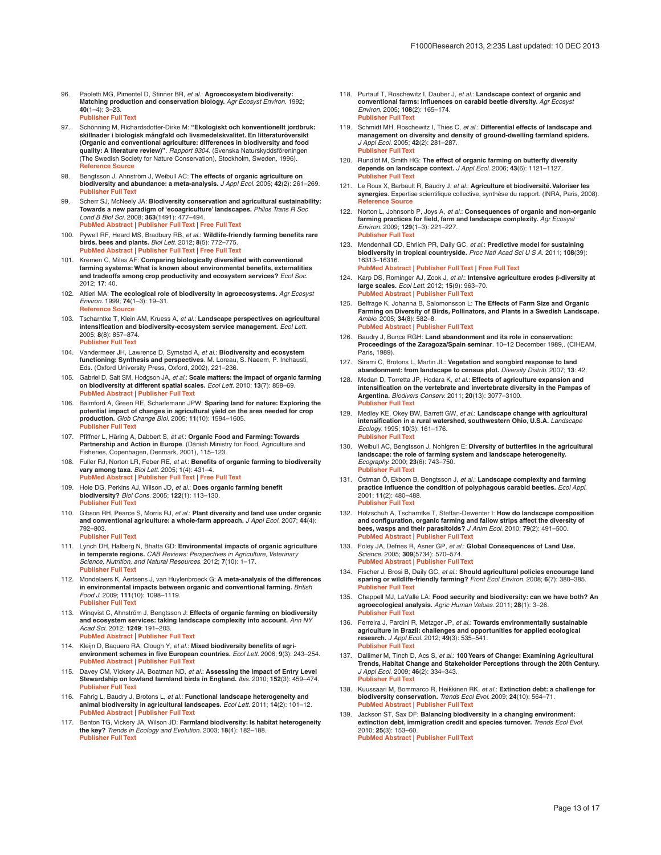- <span id="page-14-0"></span>Paoletti MG, Pimentel D, Stinner BR, et al.: Agroecosystem biodiversity: **Matching production and conservation biology.** *Agr Ecosyst Environ.* 1992; **40**(1–4): 3–23. **[Publisher Full Text](http://dx.doi.org/10.1016/0167-8809(92)90080-U)**
- 97. Schönning M, Richardsdotter-Dirke M: **"Ekologiskt och konventionellt jordbruk: skillnader i biologisk mångfald och livsmedelskvalitet. En litteraturöversikt (Organic and conventional agriculture: differences in biodiversity and food quality: A literature review)"**. *Rapport 9304*. (Svenska Naturskyddsföreningen (The Swedish Society for Nature Conservation), Stockholm, Sweden, 1996). **[Reference Source](https://biblioteket.stockholm.se/titel/417717)**
- 98. Bengtsson J, Ahnström J, Weibull AC: **The effects of organic agriculture on biodiversity and abundance: a meta-analysis.** *J Appl Ecol.* 2005; **42**(2): 261–269. **[Publisher Full Text](http://dx.doi.org/10.1111/j.1365-2664.2005.01005.x)**
- 99. Scherr SJ, McNeely JA: **Biodiversity conservation and agricultural sustainability: Towards a new paradigm of 'ecoagriculture' landscapes.** *Philos Trans R Soc Lond B Biol Sci.* 2008; **363**(1491): 477–494. **[PubMed Abstract](http://www.ncbi.nlm.nih.gov/pubmed/17652072)** | **[Publisher Full Text](http://dx.doi.org/10.1098/rstb.2007.2165)** | **[Free Full Text](http://www.ncbi.nlm.nih.gov/pmc/articles/2610165)**
- 100. Pywell RF, Heard MS, Bradbury RB, *et al.*: **Wildlife-friendly farming benefits rare birds, bees and plants.** *Biol Lett.* 2012; **8**(5): 772–775. **[PubMed Abstract](http://www.ncbi.nlm.nih.gov/pubmed/22675140)** | **[Publisher Full Text](http://dx.doi.org/10.1098/rsbl.2012.0367)** | **[Free Full Text](http://www.ncbi.nlm.nih.gov/pmc/articles/3440986)**
- 101. Kremen C, Miles AF: **Comparing biologically diversified with conventional farming systems: What is known about environmental benefits, externalities and tradeoffs among crop productivity and ecosystem services?** *Ecol Soc.* 2012; **17**: 40.
- 102. Altieri MA: **The ecological role of biodiversity in agroecosystems.** *Agr Ecosyst Environ.* 1999; **74**(1–3): 19–31. **[Reference Source](http://www.sciencedirect.com/science/article/pii/S0167880999000286)**
- 103. Tscharntke T, Klein AM, Kruess A, *et al.*: **Landscape perspectives on agricultural intensification and biodiversity-ecosystem service management.** *Ecol Lett.* 2005; **8**(8): 857–874. **[Publisher Full Text](http://dx.doi.org/10.1111/j.1461-0248.2005.00782.x)**
- 104. Vandermeer JH, Lawrence D, Symstad A, *et al.*: **Biodiversity and ecosystem functioning: Synthesis and perspectives**. M. Loreau, S. Naeem, P. Inchausti, Eds. (Oxford University Press, Oxford, 2002), 221–236.
- 105. Gabriel D, Sait SM, Hodgson JA, *et al.*: **Scale matters: the impact of organic farming on biodiversity at different spatial scales.** *Ecol Lett.* 2010; **13**(7): 858–69. **[PubMed Abstract](http://www.ncbi.nlm.nih.gov/pubmed/20482572)** | **[Publisher Full Text](http://dx.doi.org/10.1111/j.1461-0248.2010.01481.x)**
- 106. Balmford A, Green RE, Scharlemann JPW: **Sparing land for nature: Exploring the potential impact of changes in agricultural yield on the area needed for crop production.** *Glob Change Biol.* 2005; **11**(10): 1594–1605. **[Publisher Full Text](http://dx.doi.org/10.1111/j.1365-2486.2005.001035.x)**
- 107. Pfiffner L, Häring A, Dabbert S, *et al.*: **Organic Food and Farming: Towards Partnership and Action in Europe**. (Dänish Ministry for Food, Agriculture and Fisheries, Copenhagen, Denmark, 2001), 115–123.
- 108. Fuller RJ, Norton LR, Feber RE, *et al.*: **Benefits of organic farming to biodiversity vary among taxa.** *Biol Lett.* 2005; **1**(4): 431–4. **[PubMed Abstract](http://www.ncbi.nlm.nih.gov/pubmed/17148225)** | **[Publisher Full Text](http://dx.doi.org/10.1098/rsbl.2005.0357)** | **[Free Full Text](http://www.ncbi.nlm.nih.gov/pmc/articles/1626368)**
- 109. Hole DG, Perkins AJ, Wilson JD, *et al.*: **Does organic farming benefit biodiversity?** *Biol Cons.* 2005; **122**(1): 113–130. **[Publisher Full Text](http://dx.doi.org/10.1016/j.biocon.2004.07.018)**
- 110. Gibson RH, Pearce S, Morris RJ, *et al.*: **Plant diversity and land use under organic and conventional agriculture: a whole-farm approach.** *J Appl Ecol.* 2007; **44**(4): 792–803. **[Publisher Full Text](http://dx.doi.org/10.1111/j.1365-2664.2007.01292.x)** 
	-
- 111. Lynch DH, Halberg N, Bhatta GD: **Environmental impacts of organic agriculture in temperate regions.** *CAB Reviews: Perspectives in Agriculture, Veterinary Science, Nutrition, and Natural Resources.* 2012; **7**(10): 1–17. **[Publisher Full Text](http://dx.doi.org/10.1079/PAVSNNR20127010)**
- 112. Mondelaers K, Aertsens J, van Huylenbroeck G: **A meta-analysis of the differences in environmental impacts between organic and conventional farming.** *British Food J.* 2009; **111**(10): 1098–1119. **[Publisher Full Text](http://dx.doi.org/10.1108/00070700910992925)**
- 113. Winqvist C, Ahnström J, Bengtsson J: **Effects of organic farming on biodiversity and ecosystem services: takin[g](http://www.ncbi.nlm.nih.gov/pubmed/22335471) landscape complexity into account.** *Ann NY Acad Sci.* 2012; **1249**: 191–203. **[PubMed Abstract](http://www.ncbi.nlm.nih.gov/pubmed/22335471)** | **[Publisher Full Text](http://dx.doi.org/10.1111/j.1749-6632.2011.06413.x)**
- 114. Kleijn D, Baquero RA, Clough Y, *et al.*: **Mixed biodiversity benefits of agrienvironment schemes in five European countries.** *Ecol Lett.* 2006; **9**(3): 243–254. **[PubMed Abstract](http://www.ncbi.nlm.nih.gov/pubmed/16958888)** | **[Publisher Full Text](http://dx.doi.org/10.1111/j.1461-0248.2005.00869.x)**
- 115. Davey CM, Vickery JA, Boatman ND, *et al.*: **Assessing the impact of Entry Level Stewardship on lowland farmland birds in England.** *Ibis.* 2010; **152**(3): 459–474. **[Publisher Full Text](http://dx.doi.org/10.1111/j.1474-919X.2009.01001.x)**
- 116. Fahrig L, Baudry J, Brotons L, *et al.*: **Functional landscape heterogeneity and animal biodiversity in agricultural landscapes.** *Ecol Lett.* 2011; **14**(2): 101–12. **[PubMed Abstract](http://www.ncbi.nlm.nih.gov/pubmed/21087380)** | **[Publisher Full Text](http://dx.doi.org/10.1111/j.1461-0248.2010.01559.x)**
- 117. Benton TG, Vickery JA, Wilson JD: **Farmland biodiversity: Is habitat heterogeneity the key?** *Trends in Ecology and Evolution.* 2003; **18**(4): 182–188. **[Publisher Full Text](http://dx.doi.org/10.1016/S0169-5347(03)00011-9)**
- 118. Purtauf T, Roschewitz I, Dauber J, *et al.*: **Landscape context of organic and conventional farms: Influences on carabid beetle diversity.** *Agr Ecosyst Environ.* 2005; **108**(2): 165–174. **[Publisher Full Text](http://dx.doi.org/10.1016/j.agee.2005.01.005)**
- 119. Schmidt MH, Roschewitz I, Thies C, *et al.*: **Differential effects of landscape and management on diversity and density of ground-dwelling farmland spiders.** *J Appl Ecol.* 2005; **42**(2): 281–287. **[Publisher Full Text](http://dx.doi.org/10.1111/j.1365-2664.2005.01014.x)**
- 120. Rundlöf M, Smith HG: **The effect of organic farming on butterfly diversity depends on landscape context.** *J Appl Ecol.* 2006; **43**(6): 1121–1127. **[Publisher Full Text](http://dx.doi.org/10.1111/j.1365-2664.2006.01233.x)**
- 121. Le Roux X, Barbault R, Baudry J, *et al.*: **Agriculture et biodiversité. Valoriser les synergies**. Expertise scientifique collective, synthèse du rapport. (INRA, Paris, 2008). **[Reference Source](http://www.oree.org/_script/ntsp-document-file_download.php?document_id=937)**
- 122. Norton L, Johnsonb P, Joys A, *et al.*: **Consequences of organic and non-organic farming practices for field, farm and landscape complexity.** *Agr Ecosyst Environ.* 2009; **129**(1–3): 221–227. **[Publisher Full Text](http://dx.doi.org/10.1016/j.agee.2008.09.002)**
- 123. Mendenhall CD, Ehrlich PR, Daily GC, *et al.*: **Predictive model for sustaining biodiversity in tropical countryside.** *Proc Natl Acad Sci U S A.* 2011; **108**(39): 16313–16316. **[PubMed Abstract](http://www.ncbi.nlm.nih.gov/pubmed/21911396)** | **[Publisher Full Text](http://dx.doi.org/10.1073/pnas.1111687108)** | **[Free Full Text](http://www.ncbi.nlm.nih.gov/pmc/articles/3182680)**
- 124. Karp DS, Rominger AJ, Zook J, *et al.*: **Intensive agriculture erodes β-diversity at large scales.** *Ecol Lett.* 2012; **15**(9): 963–70. **[PubMed Abstract](http://www.ncbi.nlm.nih.gov/pubmed/22727063)** | **[Publisher Full Text](http://dx.doi.org/10.1111/j.1461-0248.2012.01815.x)**
- 125. Belfrage K, Johanna B, Salomonsson L: **The Effects of Farm Size and Organic Farming on Diversity of Birds, Pollinators, and Plants in a Swedish Landscape.** *Ambio.* 2005; **34**(8): 582–8. **[PubMed Abstract](http://www.ncbi.nlm.nih.gov/pubmed/16521832)** | **[Publisher Full Text](http://dx.doi.org/10.1639/0044-7447(2005)034[0582:TEOFSA]2.0.CO;2)**
- 126. Baudry J, Bunce RGH: **Land abandonment and its role in conservation: Proceedings of the Zaragoza/Spain seminar**. 10–12 December 1989,. (CIHEAM, Paris, 1989).
- 127. Sirami C, Brotons L, Martin JL: **Vegetation and songbird response to land abandonment: from landscape to census plot.** *Diversity Distrib.* 2007; **13**: 42.
- 128. Medan D, Torretta JP, Hodara K, *et al.*: **Effects of agriculture expansion and intensification on the vertebrate and invertebrate diversity in the Pampas of Argentina.** *Biodivers Conserv.* 2011; **20**(13): 3077–3100. **[Publisher Full Text](http://dx.doi.org/10.1007/s10531-011-0118-9)**
- 129. Medley KE, Okey BW, Barrett GW, *et al.*: **Landscape change with agricultural intensification in a rural watershed, southwestern Ohio, U.S.A.** *Landscape Ecology.* 1995; **10**(3): 161–176. **[Publisher Full Text](http://dx.doi.org/10.1007/BF00133029)**
- 130. Weibull AC, Bengtsson J, Nohlgren E: **Diversity of butterflies in the agricultural landscape: the role of farming system and landscape heterogeneity.** *Ecography.* 2000; **23**(6): 743–750. **[Publisher Full Text](http://dx.doi.org/10.1111/j.1600-0587.2000.tb00317.x)**
- 131. Östman Ö, Ekbom B, Bengtsson J, *et al.*: **Landscape complexity and farming practice influence the condition of polyphagous carabid beetles.** *Ecol Appl.* 2001; **11**(2): 480–488. **[Publisher Full Text](http://dx.doi.org/10.1890/1051-0761(2001)011[0480:LCAFPI]2.0.CO;2)**
- 132. Holzschuh A, Tscharntke T, Steffan-Dewenter I: **How do landscape composition and configuration, organic farming and fallow strips affect the diversity of bees, wasps and their parasitoids?** *J Anim Ecol.* 2010; **79**(2): 491–500. **[PubMed Abstract](http://www.ncbi.nlm.nih.gov/pubmed/20015213)** | **[Publisher Full Text](http://dx.doi.org/10.1111/j.1365-2656.2009.01642.x)**
- 133. Foley JA, Defries R, Asner GP, *et al.*: **Global Consequences of Land Use.** *Science.* 2005; **309**(5734): 570–574. **[PubMed Abstract](http://www.ncbi.nlm.nih.gov/pubmed/16040698)** | **[Publisher Full Text](http://dx.doi.org/10.1126/science.1111772)**
- 134. Fischer J, Brosi B, Daily GC, *et al.*: **Should agricultural policies encourage land sparing or wildlife-friendly farming?** *Front Ecol Environ.* 2008; **6**(7): 380–385. **[Publisher Full Text](http://dx.doi.org/10.1890/070019)**
- 135. Chappell MJ, LaValle LA: **Food security and biodiversity: can we have both? An agroecological analysis.** *Agric Human Values.* 2011; **28**(1): 3–26. **[Publisher Full Text](http://dx.doi.org/10.1007/s10460-009-9251-4)**
- 136. Ferreira J, Pardini R, Metzger JP, *et al.*: **Towards environmentally sustainable agriculture in Brazil: challenges and opportunities for applied ecological research.** *J Appl Ecol.* 2012; **49**(3): 535–541. **[Publisher Full Text](http://dx.doi.org/10.1111/j.1365-2664.2012.02145.x)**
- 137. Dallimer M, Tinch D, Acs S, *et al.*: **100 Years of Change: Examining Agricultural Trends, Habitat Change and Stak[e](http://dx.doi.org/10.1111/j.1365-2664.2009.01619.x)holder Perceptions through the 20th Century.** *J Appl Ecol.* 2009; **46**(2): 334–343. **[Publisher Full Text](http://dx.doi.org/10.1111/j.1365-2664.2009.01619.x)**
- 138. Kuussaari M, Bommarco R, Heikkinen RK, *et al.*: **Extinction debt: a challenge for biodiversity conservation.** *Trends Ecol Evol.* 2009; **24**(10): 564–71. **[PubMed Abstract](http://www.ncbi.nlm.nih.gov/pubmed/19665254)** | **[Publisher Full Text](http://dx.doi.org/10.1016/j.tree.2009.04.011)**
- 139. Jackson ST, Sax DF: **Balancing biodiversity in a changing environment: extinction debt, immigration credit and species turnover.** *Trends Ecol Evol.* 2010; **25**(3): 153–60. **[PubMed Abstract](http://www.ncbi.nlm.nih.gov/pubmed/19879014)** | **[Publisher Full Text](http://dx.doi.org/10.1016/j.tree.2009.10.001)**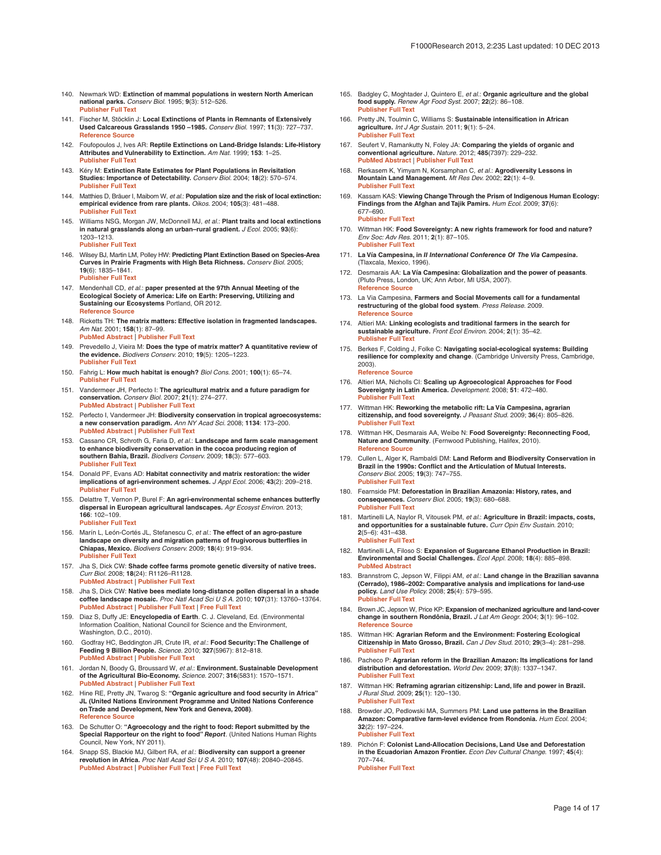- <span id="page-15-0"></span>140. Newmark WD: **Extinction of mammal populations in western North American national parks.** *Conserv Biol.* 1995; **9**(3): 512–526. **[Publisher Full Text](http://dx.doi.org/10.1046/j.1523-1739.1995.09030512.x)**
- 141. Fischer M, Stöcklin J: **Local Extinctions of Plants in Remnants of Extensively Used Calcareous Grasslands 1950 –1985.** *Conserv Biol.* 1997; **11**(3): 727–737. **[Reference Source](http://www.jstor.org/discover/10.2307/2387433?uid=3738256&uid=2129&uid=2&uid=70&uid=4&sid=21102843979601)**
- 142. Foufopoulos J, Ives AR: **Reptile Extinctions on Land-Bridge Islands: Life-History Attributes and Vulnerability to Extinction.** *Am Nat.* 1999; **153**: 1–25. **[Publisher Full Text](http://dx.doi.org/10.1086/303149)**
- 143. Kéry M: **Extinction Rate Estimates for Plant Populations in Revisitation Studies: Importance of Detectability.** *Conserv Biol.* 2004; **18**(2): 570–574. **[Publisher Full Text](http://dx.doi.org/10.1111/j.1523-1739.2004.00105.x)**
- 144. Matthies D, Bräuer I, Maibom W, *et al.*: **Population size and the risk of local extinction: empirical evidence from rare plants.** *Oikos.* 2004; **105**(3): 481–488. **[Publisher Full Text](http://dx.doi.org/10.1111/j.0030-1299.2004.12800.x)**
- 145. Williams NSG, Morgan JW, McDonnell MJ, *et al.*: **Plant traits and local extinctions in natural grasslands along an urban–rural gradient.** *J Ecol.* 2005; **93**(6): 1203–1213. **[Publisher Full Text](http://dx.doi.org/10.1111/j.1365-2745.2005.01039.x)**
- 146. Wilsey BJ, Martin LM, Polley HW: **Predicting Plant Extinction Based on Species-Area Curves in Prairie Fragments with High Beta Richness.** *Conserv Biol.* 2005; **19**(6): 1835–1841. **[Publisher Full Text](http://dx.doi.org/10.1111/j.1523-1739.2005.00250.x)**
- 147. Mendenhall CD, *et al.*: **paper presented at the 97th Annual Meeting of the Ecological Society of America: Life on Earth: Preserving, Utilizing and Sustaining our Ecosystems** Portland, OR 2012. **[Reference Source](http://www.sej.org/calendar/97th-ecological-society-america-esa-annual-meeting-portland-2012)**
- 148. Ricketts TH: **The matrix matters: Effective isolation in fragmented landscapes.** *Am Nat.* 2001; **158**(1): 87–99. **[PubMed Abstract](http://www.ncbi.nlm.nih.gov/pubmed/18707317)** | **[Publisher Full Text](http://dx.doi.org/10.1086/320863)**
- 149. Prevedello J, Vieira M: **Does the type of matrix matter? A quantitative review of the evidence.** *Biodivers Conserv.* 2010; **19**(5): 1205–1223. **[Publisher Full Text](http://dx.doi.org/10.1007/s10531-009-9750-z)**
- 150. Fahrig L: **How much habitat is enough?** *Biol Cons.* 2001; **100**(1): 65–74. **[Publisher Full Text](http://dx.doi.org/10.1016/S0006-3207(00)00208-1)**
- 151. Vandermeer JH, Perfecto I: **The agricultural matrix and a future paradigm for conservation.** *Conserv Biol.* 2007; **21**(1): 274–277. **[PubMed Abstract](http://www.ncbi.nlm.nih.gov/pubmed/17298536)** | **[Publisher Full Text](http://dx.doi.org/10.1111/j.1523-1739.2006.00582.x)**
- 152. Perfecto I, Vandermeer JH: **Biodiversity conservation in tropical agroec[o](http://www.ncbi.nlm.nih.gov/pubmed/18566094)systems: a new conservation paradigm.** *Ann NY Acad Sci.* 2008; **1134**: 173–200. **[PubMed Abstract](http://www.ncbi.nlm.nih.gov/pubmed/18566094)** | **[Publisher Full Text](http://dx.doi.org/10.1196/annals.1439.011)**
- 153. Cassano CR, Schroth G, Faria D, *et al.*: **Landscape and farm scale management to enhance biodiversity conservation in the cocoa producing region of southern Bahia, Brazil.** *Biodivers Conserv.* 2009; **18**(3): 577–603. **[Publisher Full Text](http://dx.doi.org/10.1007/s10531-008-9526-x)**
- 154. Donald PF, Evans AD: **Habitat connectivity and matrix restoration: the wider implications of agri-environment schemes.** *J Appl Ecol.* 2006; **43**(2): 209–218. **[Publisher Full Text](http://dx.doi.org/10.1111/j.1365-2664.2006.01146.x)**
- 155. Delattre T, Vernon P, Burel F: **An agri-environmental scheme enhances butterfly dispersal in European agricultural landscapes.** *Agr Ecosyst Environ.* 2013; **166**: 102–109. **[Publisher Full Text](http://dx.doi.org/10.1016/j.agee.2011.06.018)**
- 156. Marín L, León-Cortés JL, Stefanescu C, *et al.*: **The effect of an agro-pasture landscape on diversity and migration patterns of frugivo[ro](http://dx.doi.org/10.1007/s10531-008-9540-z)us butterflies in Chiapas, Mexico.** *Biodivers Conserv.* 2009; **18**(4): 919–934. **[Publisher Full Text](http://dx.doi.org/10.1007/s10531-008-9540-z)**
- 157. Jha S, Dick CW: **Shade coffee farms promote genetic diversity of native trees.** *Curr Biol.* 2008; **18**(24): R1126–R1128. **[PubMed Abstract](http://www.ncbi.nlm.nih.gov/pubmed/19108765)** | **[Publisher Full Text](http://dx.doi.org/10.1016/j.cub.2008.11.017)**
- 158. Jha S, Dick CW: **Native bees mediate long-distance pollen dispersal in a shade coffee landscape mosaic.** *Proc Natl Acad Sci U S A.* 2010; **107**(31): 13760–13764. **[PubMed Abstract](http://www.ncbi.nlm.nih.gov/pubmed/20660738)** | **[Publisher Full Text](http://dx.doi.org/10.1073/pnas.1002490107)** | **[Free Full Text](http://www.ncbi.nlm.nih.gov/pmc/articles/2922262)**
- 159. Diaz S, Duffy JE: **Encyclopedia of Earth**. C. J. Cleveland, Ed. (Environmental Information Coalition, National Council for Science and the Environment, Washington, D.C., 2010).
- 160. Godfray HC, Beddington JR, Crute IR, *et al.*: **Food Security: The Challenge of Feeding 9 Billion People.** *Science.* 2010; **327**(5967): 812–818. **[PubMed Abstract](http://www.ncbi.nlm.nih.gov/pubmed/20110467)** | **[Publisher Full Text](http://dx.doi.org/10.1126/science.1185383)**
- 161. Jordan N, Boody G, Broussard W, *et al.*: **Environment. Sustainable Devel[o](http://www.ncbi.nlm.nih.gov/pubmed/17569847)pment of the Agricultural Bio-Economy.** *Science.* 2007; **316**(5831): 1570–1571. **[PubMed Abstract](http://www.ncbi.nlm.nih.gov/pubmed/17569847)** | **[Publisher Full Text](http://dx.doi.org/10.1126/science.1141700)**
- 162. Hine RE, Pretty JN, Twarog S: **"Organic agriculture and food security in Africa" JL (United Nations Environment Programme and United Nations Conference on Trade and Development, New York and Geneva, 2008)**. **[Reference Source](http://www.slideshare.net/Z3P/t3x94)**
- 163. De Schutter O: **"Agroecology and the right to food: Report submitted by the Special Rapporteur on the right to food"** *Report*. (United Nations Human Rights Council, New York, NY 2011).
- 164. Snapp SS, Blackie MJ, Gilbert RA, *et al.*: **Biodiversity can support a greener revolution in Africa.** *Proc Natl Acad Sci U S A.* 2010; **107**(48): 20840–20845. **[PubMed Abstract](http://www.ncbi.nlm.nih.gov/pubmed/21098285)** | **[Publisher Full Text](http://dx.doi.org/10.1073/pnas.1007199107)** | **[Free Full Text](http://www.ncbi.nlm.nih.gov/pmc/articles/2996441)**
- 165. Badgley C, Moghtader J, Quintero E, *et al.*: **Organic agriculture and the global food supply.** *Renew Agr Food Syst.* 2007; **22**(2): 86–108. **[Publisher Full Text](http://dx.doi.org/10.1017/S1742170507001640)**
- 166. Pretty JN, Toulmin C, Williams S: **Sustainable i[n](http://dx.doi.org/10.3763/ijas.2010.0583)tensification in African agriculture.** *Int J Agr Sustain.* 2011; **9**(1): 5–24. **[Publisher Full Text](http://dx.doi.org/10.3763/ijas.2010.0583)**
- Seufert V, Ramankutty N, Foley JA: **Comparing the yields of organic and conventional agriculture.** *Nature.* 2012; **485**(7397): 229–232. **[PubMed Abstract](http://www.ncbi.nlm.nih.gov/pubmed/22535250)** | **[Publisher Full Text](http://dx.doi.org/10.1038/nature11069)**
- Rerkasem K, Yimyam N, Korsamphan C, et al.: Agrodiversity Lessons in **Mountain Land Management.** *Mt Res Dev.* 2002; **22**(1): 4–9. **[Publisher Full Text](http://dx.doi.org/10.1659/0276-4741(2002)022[0004:ALIMLM]2.0.CO;2)**
- 169. Kassam KAS: **Viewing Change Through the Prism of Indigenous Human Ecology: Findings from the Afghan and Tajik Pamirs.** *Hum Ecol.* 2009; **37**(6): 677–690.
	- **[Publisher Full Text](http://dx.doi.org/10.1007/s10745-009-9284-8)**
- 170. Wittman HK: **Food Sovereignty: A new rights framework for food and nature?** *Env Soc: Adv Res.* 2011; **2**(1): 87–105. **[Publisher Full Text](http://dx.doi.org/10.3167/ares.2011.020106)**
- 171. **La Vía Campesina, in** *II International Conference Of The Via Campesina***.** (Tlaxcala, Mexico, 1996).
- 172. Desmarais AA: **La Vía Campesina: Globalization and the power of peasants**. (Pluto Press, London, UK; Ann Arbor, MI USA, 2007). **[Reference Source](http://fernwoodpublishing.ca/La-Via-Campesina-Annette-Aurelie-Desmarais/)**
- 173. La Via Campesina, **Farmers and Social Movements call for a fundamental restructuring of the global food system**. *Press Release*. 2009. **[Reference Source](http://viacampesina.org/en/index.php/main-issues-mainmenu-27/food-sovereignty-and-trade-mainmenu-38/648-farmers-and-social-movements-call-for-a-fundamental-restructuring-of-the-global-food-system)**
- 174. Altieri MA: **Linking ecologists and traditional farmers in the search for sustainable agriculture.** *Front Ecol Environ.* 2004; **2**(1): 35–42. **[Publisher Full Text](http://dx.doi.org/10.1890/1540-9295(2004)002[0035:LEATFI]2.0.CO;2)**
- 175. Berkes F, Colding J, Folke C: **Navigating social-ecological systems: Building resilience for complexity and change**. (Cambridge University Press, Cambridge, 2003). **[Reference Source](http://www.resalliance.org/4.php)**
- 176. Altieri MA, Nicholls CI: **Scaling up Agroecological Approaches for Food Sovereignty in Latin America.** *Development.* 2008; **51**: 472–480. **[Publisher Full Text](http://dx.doi.org/10.1057/dev.2008.68)**
- 177. Wittman HK: **Reworking the metabolic rift: La Vía Campesina, agrarian citizenship, and food sovereignty.** *J Peasant Stud.* 2009; **36**(4): 805–826. **[Publisher Full Text](http://dx.doi.org/10.1080/03066150903353991)**
- 178. Wittman HK, Desmarais AA, Weibe N: **Food Sovereignty: Reconnecting Food, Nature and Community**. (Fernwood Publishing, Halifex, 2010). **[Reference Source](http://fernwoodpublishing.ca/food-sovereignty-hannah-wittman/)**
- 179. Cullen L, Alger K, Rambaldi DM: **Land Reform and Biodiversity Conservation in Brazil in the 1990s: Conflict and the Articulation of Mutual Interests.** *Conserv Biol.* 2005; **19**(3): 747–755[.](http://dx.doi.org/10.1111/j.1523-1739.2005.00700.x) **[Publisher Full Text](http://dx.doi.org/10.1111/j.1523-1739.2005.00700.x)**
- 180. Fearnside PM: **Deforestation in Brazilian Amazonia: History, rates, and consequences.** *Conserv Biol.* 2005; **19**(3): 680–688[.](http://dx.doi.org/10.1111/j.1523-1739.2005.00697.x) **[Publisher Full Text](http://dx.doi.org/10.1111/j.1523-1739.2005.00697.x)**
- 181. Martinelli LA, Naylor R, Vitousek PM, *et al.*: **Agriculture in Brazil: impacts, costs, and opportunities for a sustainable future.** *Curr Opin Env Sustain.* 2010; **2**(5–6): 431–438[.](http://dx.doi.org/10.1016/j.cosust.2010.09.008) **[Publisher Full Text](http://dx.doi.org/10.1016/j.cosust.2010.09.008)**
- 182. Martinelli LA, Filoso S: **Expansion of Sugarcane Ethanol Production in Brazil: Environmental and Social Challenges.** *Ecol Appl.* 2008; **18**(4): 885–898. **[PubMed Abstract](http://www.ncbi.nlm.nih.gov/pubmed/18536250)**
- 183. Brannstrom C, Jepson W, Filippi AM, *et al.*: **Land change in the Brazilian savanna (Cerrado), 1986–2002: Comparative analysis and implications for land-use policy.** *Land Use Policy.* 2008; **25**(4): 579–595. **[Publisher Full Text](http://dx.doi.org/10.1016/j.landusepol.2007.11.008)**
- 184. Brown JC, Jepson W, Price KP: **Expansion of mechanized agriculture and land-cover change in southern Rondônia, Brazil.** *J Lat Am Geogr.* 2004; **3**(1): 96–102. **[Reference Source](http://www.jstor.org/discover/10.2307/25765069?uid=3738256&uid=2129&uid=2&uid=70&uid=4&sid=21102850137301)**
- 185. Wittman HK: **Agrarian Reform and the Environment: Fostering Ecological Citizenship in Mato Grosso, Brazil.** *Can J Dev Stud.* 2010; **29**(3–4): 281–298. **[Publisher Full Text](http://dx.doi.org/10.1080/02255189.2010.9669259)**
- 186. Pacheco P: **Agrarian reform in the Brazilian Amazon: Its implications for land distribution and deforestation.** *World Dev.* 2009; **37**(8): 1337–1347. **[Publisher Full Text](http://dx.doi.org/10.1016/j.worlddev.2008.08.019)**
- 187. Wittman HK: **Reframing agrarian citizenship: Land, life and power in Brazil.** *J Rural Stud.* 2009; **25**(1): 120–130. **[Publisher Full Text](http://dx.doi.org/10.1016/j.jrurstud.2008.07.002)**
- 188. Browder JO, Pedlowski MA, Summers PM: **Land use patterns in the Brazilian Amazon: Comparative farm-level evidence from Rondonia.** *Hum Ecol.* 2004; **32**(2): 197–224. **Publisher Full Text**
- 189. Pichón F: **Colonist Land-Allocation Decisions, Land Use and Deforestation in the Ecuadorian Amazon Frontier.** *Econ Dev Cultural Change.* 1997; **45**(4): 707–744. **[Publisher Full Text](http://dx.doi.org/10.1086/452305)**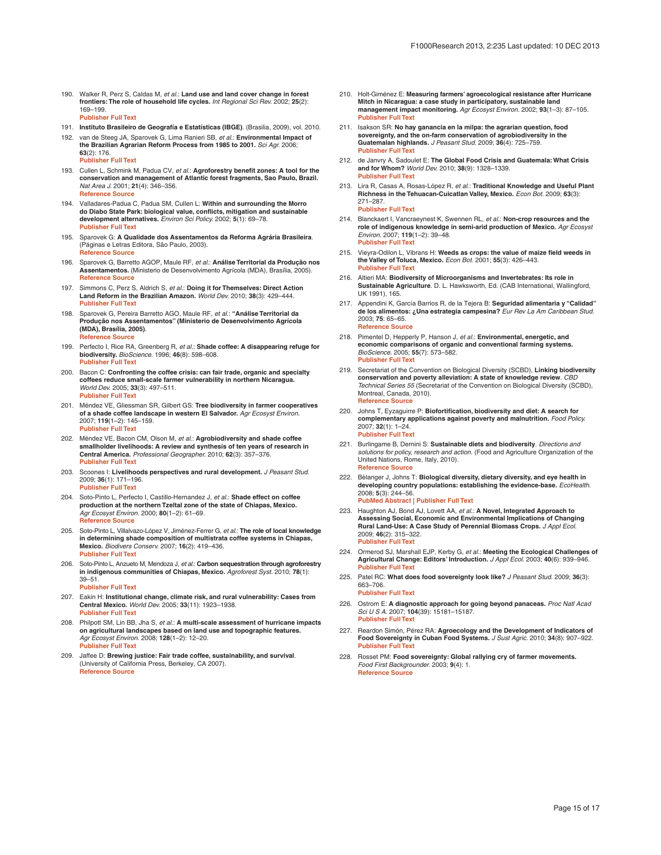- <span id="page-16-0"></span>190. Walker R, Perz S, Caldas M, *et al.*: **Land use and land cover change in forest frontiers: The role of household life cycles.** *Int Regional Sci Rev.* 2002; **25**(2): 169–199. **[Publisher Full Text](http://dx.doi.org/10.1177/016001760202500202)**
- 191. **Instituto Brasileiro de Geografía e Estatísticas (IBGE)**. (Brasilia, 2009), vol. 2010.
- 192. van de Steeg JA, Sparovek G, Lima Ranieri SB, *et al.*: **Environmental Impact of the Brazilian Agrarian Reform Process from 1985 to 2001.** *Sci Agr.* 2006; **63**(2): 176. **[Publisher Full Text](http://dx.doi.org/10.1590/S0103-90162006000200010)**
- 193. Cullen L, Schmink M, Padua CV, *et al.*: **Agroforestry benefit zones: A tool for the conservation and management of Atlantic forest fragments, Sao Paulo, Brazil.** *Nat Area J.* 2001; **21**(4): 346–356. **[Reference Source](http://serials.unibo.it/cgi-ser/start/it/spogli/df-s.tcl?prog_art=8572378&language=ITALIANO&view=articoli)**
- 194. Valladares-Padua C, Padua SM, Cullen L: **Within and surrounding the Morro do Diabo State Park: biological value, conflicts, mitigation and sustainable development alternatives.** *Environ Sci Policy.* 2002; **5**(1): 69–78. **[Publisher Full Text](http://dx.doi.org/10.1016/S1462-9011(02)00019-9)**
- 195. Sparovek G: **A Qualidade dos Assentamentos da Reforma Agrária Brasileira**. (Páginas e Letras Editora, São Paulo, 2003). **[Reference Source](http://www.ufrgs.br/pgdr/arquivos/547.pdf)**
- 196. Sparovek G, Barretto AGOP, Maule RF, *et al.*: **Análise Territorial da Produção nos Assentamentos.** (Ministerio de Desenvolvimento Agrícola (MDA), Brasília, 2005). **[Reference Source](http://www.iica.int/Esp/regiones/sur/brasil/Lists/Publicacoes/Attachments/91/An%C3%A1lise_territorial_da_produ%C3%A7%C3%A3o_nos_assentamentos.pdf)**
- 197. Simmons C, Perz S, Aldrich S, *et al.*: **Doing it for Themselves: Direct Acti[o](http://dx.doi.org/10.1016/j.worlddev.2009.06.003)n Land Reform in the Brazilian Amazon.** *World Dev.* 2010; **38**(3): 429–444. **[Publisher Full Text](http://dx.doi.org/10.1016/j.worlddev.2009.06.003)**
- 198. Sparovek G, Pereira Barretto AGO, Maule RF, *et al.*: **"Análise Territorial da Produção nos Assentamentos" (Ministerio de Desenvolvimento Agrícola (MDA), Brasília, 2005)**. **[Reference Source](http://www.iica.int/Esp/regiones/sur/brasil/Lists/Publicacoes/Attachments/91/An%C3%A1lise_territorial_da_produ%C3%A7%C3%A3o_nos_assentamentos.pdf)**
- 199. Perfecto I, Rice RA, Greenberg R, *et al.*: **Shade coffee: A disappearing refuge for biodiversity.** *BioScience.* 1996; **46**(8): 598–608. **[Publisher Full Text](http://dx.doi.org/10.2307/1312989)**
- 200. Bacon C: **Confronting the coffee crisis: can fair trade, organic and specialty coffees reduce small-scale farmer vulnerability in northern Nicaragua.** *World Dev.* 2005; **33**(3): 497–511. **[Publisher Full Text](http://dx.doi.org/10.1016/j.worlddev.2004.10.002)**
- 201. Méndez VE, Gliessman SR, Gilbert GS: **Tree biodiversity in farmer cooperatives of a shade coffee landscape in western El Salvador.** *Agr Ecosyst Environ.* 2007; **119**(1–2): 145–159. **[Publisher Full Text](http://dx.doi.org/10.1016/j.agee.2006.07.004)**
- 202. Méndez VE, Bacon CM, Olson M, *et al.*: **Agrobiodiversity and shade coffee smallholder livelihoods: A review and synthesis of ten years of research in Central America.** *Professional Geographer.* 2010; **62**(3): 357–376. **[Publisher Full Text](http://dx.doi.org/10.1080/00330124.2010.483638)**
- 203. Scoones I: **Livelihoods perspectives and rural development.** *J Peasant Stud.* 2009; **36**(1): 171–196. **[Publisher Full Text](http://dx.doi.org/10.1080/03066150902820503)**
- 204. Soto-Pinto L, Perfecto I, Castillo-Hernandez J, *et al.*: **Shade effect on coffee production at the northern Tzeltal zone of the state of Chiapas, Mexico.** *Agr Ecosyst Environ.* 2000; **80**(1–2): 61–69. **[Reference Source](http://reforestation.elti.org/resource/377/)**
- 205. Soto-Pinto L, Villalvazo-López V, Jiménez-Ferrer G, *et al.*: **The role of local knowledge in determining shade composition of multistrat[a](http://dx.doi.org/10.1007/s10531-005-5436-3) coffee systems in Chiapas, Mexico.** *Biodivers Conserv.* 2007; **16**(2): 419–436. **[Publisher Full Text](http://dx.doi.org/10.1007/s10531-005-5436-3)**
- 206. Soto-Pinto L, Anzueto M, Mendoza J, *et al.*: **Carbon sequestration through agroforestry in indigenous communities of Chiapas, Mexico.** *Agroforest Syst.* 2010; **78**(1): 39–51.
	- **[Publisher Full Text](http://dx.doi.org/10.1007/s10457-009-9247-5)**
- 207. Eakin H: **Institutional change, climate risk, and rural vulnerability: Cases from Central Mexico.** *World Dev.* 2005; **33**(11): 1923–1938. **[Publisher Full Text](http://dx.doi.org/10.1016/j.worlddev.2005.06.005)**
- 208. Philpott SM, Lin BB, Jha S, *et al.*: **A multi-scale assessment of hurricane impacts on agricultural landscapes based on land use and topographic features.** *Agr Ecosyst Environ.* 2008; **128**(1–2): 12–20. **[Publisher Full Text](http://dx.doi.org/10.1016/j.agee.2008.04.016)**
- 209. Jaffee D: **Brewing justice: Fair trade coffee, sustainability, and survival**. (University of California Press, Berkeley, CA 2007). **[Reference Source](http://books.google.co.in/books/about/Brewing_Justice.html?id=g2wA6vCxzV4C&redir_esc=y)**
- 210. Holt-Giménez E: **Measuring farmers' agroecological resistance after Hurricane Mitch in Nicaragua: a case study in participatory, sustainable land management impact monitoring.** *Agr Ecosyst Environ.* 2002; **93**(1–3): 87–105. **[Publisher Full Text](http://dx.doi.org/10.1016/S0167-8809(02)00006-3)**
- 211. Isakson SR: **No hay ganancia en la milpa: the agrarian question, food sovereignty, and the on-farm conservation of agrobiodiversity in the Guatemalan highlands.** *J Peasant Stud.* 2009; **36**(4): 725–759. **[Publisher Full Text](http://dx.doi.org/10.1080/03066150903353876)**
- 212. de Janvry A, Sadoulet E: **The Global Food Crisis an[d](http://dx.doi.org/10.1016/j.worlddev.2010.02.008) Guatemala: What Crisis and for Whom?** *World Dev.* 2010; **38**(9): 1328–1339. **[Publisher Full Text](http://dx.doi.org/10.1016/j.worlddev.2010.02.008)**
- 213. Lira R, Casas A, Rosas-López R, *et al.*: **Traditional Knowledge and Useful Plant Richness in the Tehuacan-Cuicatlan Valley, Mexico.** *Econ Bot.* 2009; **63**(3): 271–287.
	- **[Publisher Full Text](http://dx.doi.org/10.1007/s12231-009-9075-6)**
- 214. Blanckaert I, Vancraeynest K, Swennen RL, *et al.*: **Non-crop resources and the role of indigenous knowledge in semi-arid production of Mexico.** *Agr Ecosyst Environ.* 2007; **119**(1–2): 39–48. **[Publisher Full Text](http://dx.doi.org/10.1016/j.agee.2006.06.015)**
- 215. Vieyra-Odilon L, Vibrans H: **Weeds as crops: the value of maize field weeds in the Valley of Toluca, Mexico.** *Econ Bot.* 2001; **55**(3): 426–443. **[Publisher Full Text](http://dx.doi.org/10.1007/BF02866564)**
- 216. Altieri MA: **Biodiversity of Microorganisms and Invertebrates: Its role in Sustainable Agriculture**. D. L. Hawksworth, Ed. (CAB International, Wallingford, UK 1991), 165.
- 217. Appendini K, García Barrios R, de la Tejera B: **Seguridad alimentaria y "Calidad" de los alimentos: ¿Una estrategia campesina?** *Eur Rev La Am Caribbean Stud.* 2003; **75**: 65–65. **[Reference Source](http://www.cedla.uva.nl/50_publications/pdf/revista/75RevistaEuropea/75Appendini&GarciaBarrios&delaTejera.pdf)**
- 218. Pimentel D, Hepperly P, Hanson J, *et al.*: **Environmental, energetic, and economic comparisons of organic and conventional farming systems.** *BioScience.* 2005; **55**(7): 573–582. **[Publisher Full Text](http://dx.doi.org/10.1641/0006-3568(2005)055[0573:EEAECO]2.0.CO;2)**
- 219. Secretariat of the Convention on Biological Diversity (SCBD), **Linking biodiversity conservation and poverty alleviation: A state of knowledge review**. *CBD Technical Series 55* (Secretariat of the Convention on Biological Diversity (SCBD), Montreal, Canada, 2010). **[Reference Source](http://conservationtools.org/libraries/1/library_items/1056)**
- 220. Johns T, Eyzaguirre P: **Biofortification, biodiversity and diet: A search for complementary applications against poverty and malnutrition.** *Food Policy.* 2007; **32**(1): 1–24. **[Publisher Full Text](http://dx.doi.org/10.1016/j.foodpol.2006.03.014)**
- 221. Burlingame B, Dernini S: **Sustainable diets and biodiversity**. *Directions and solutions for policy, research and ac[t](http://www.bioversityinternational.org/e-library/publications/detail/sustainable-diets-and-biodiversity/)ion*. (Food and Agriculture Organization of the United Nations, Rome, Italy, 2010). **[Reference Source](http://www.bioversityinternational.org/e-library/publications/detail/sustainable-diets-and-biodiversity/)**
- 222. Bèlanger J, Johns T: **Biological diversity, dietary diversity, and eye health in developing country populations: establishing the evidence-base.** *EcoHealth.* 2008; **5**(3): 244–56. **[PubMed Abstract](http://www.ncbi.nlm.nih.gov/pubmed/18685894)** | **[Publisher Full Text](http://dx.doi.org/10.1007/s10393-008-0180-2)**
- 223. Haughton AJ, Bond AJ, Lovett AA, *et al.*: **A Novel, Integrated Approach to Assessing Social, Economic and Environmental Implications of Changing Rural Land-Use: A Case Study of Perennial Biomass Crops.** *J Appl Ecol.* 2009; **46**(2): 315–322. **[Publisher Full Text](http://dx.doi.org/10.1111/j.1365-2664.2009.01623.x)**
- 224. Ormerod SJ, Marshall EJP, Kerby G, *et al.*: **Meeting the Ecological Challenges of Agricultural Change: Editors' Introduction.** *J Appl Ecol.* 2003; **40**(6): 939–946. **[Publisher Full Text](http://dx.doi.org/10.1111/j.1365-2664.2003.00872.x)**
- 225. Patel RC: **What does food sovereignty look like?** *J Peasant Stud.* 2009; **36**(3): 663–706.

**[Publisher Full Text](http://dx.doi.org/10.1080/03066150903143079)** 

- 226. Ostrom E: **A diagnostic approach for going beyond panaceas.** *Proc Natl Acad Sci U S A.* 2007; **104**(39): 15181–15187. **[Publisher Full Text](http://dx.doi.org/10.1073/pnas.0702288104)**
- 227. Reardon Simón, Pérez RA: **Agroecology and the Development of Indicators of Food Sovereignty in Cuban Food Systems.** *J Sust Agric.* 2010; **34**(8): 907–922. **[Publisher Full Text](http://dx.doi.org/10.1080/10440046.2010.519205)**
- 228. Rosset PM: **Food sovereignty: Global rallying cry of farmer movements.** *Food First Backgrounder.* 2003; **9**(4): 1. **[Reference Source](http://www.foodfirst.org/en/node/47)**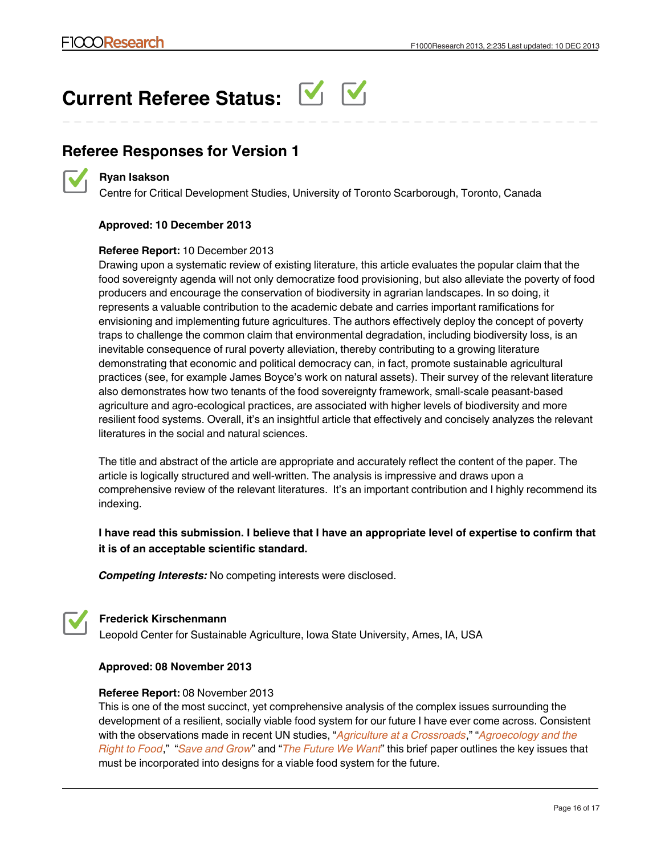# **Current Referee Status:**  $\boxed{\bigvee}$



# **Referee Responses for Version 1**



# **Ryan Isakson**

Centre for Critical Development Studies, University of Toronto Scarborough, Toronto, Canada

# **Approved: 10 December 2013**

## **Referee Report:** 10 December 2013

Drawing upon a systematic review of existing literature, this article evaluates the popular claim that the food sovereignty agenda will not only democratize food provisioning, but also alleviate the poverty of food producers and encourage the conservation of biodiversity in agrarian landscapes. In so doing, it represents a valuable contribution to the academic debate and carries important ramifications for envisioning and implementing future agricultures. The authors effectively deploy the concept of poverty traps to challenge the common claim that environmental degradation, including biodiversity loss, is an inevitable consequence of rural poverty alleviation, thereby contributing to a growing literature demonstrating that economic and political democracy can, in fact, promote sustainable agricultural practices (see, for example James Boyce's work on natural assets). Their survey of the relevant literature also demonstrates how two tenants of the food sovereignty framework, small-scale peasant-based agriculture and agro-ecological practices, are associated with higher levels of biodiversity and more resilient food systems. Overall, it's an insightful article that effectively and concisely analyzes the relevant literatures in the social and natural sciences.

The title and abstract of the article are appropriate and accurately reflect the content of the paper. The article is logically structured and well-written. The analysis is impressive and draws upon a comprehensive review of the relevant literatures. It's an important contribution and I highly recommend its indexing.

# **I have read this submission. I believe that I have an appropriate level of expertise to confirm that it is of an acceptable scientific standard.**

*Competing Interests:* No competing interests were disclosed.



# **Frederick Kirschenmann**

Leopold Center for Sustainable Agriculture, Iowa State University, Ames, IA, USA

## **Approved: 08 November 2013**

#### **Referee Report:** 08 November 2013

This is one of the most succinct, yet comprehensive analysis of the complex issues surrounding the development of a resilient, socially viable food system for our future I have ever come across. Consistent with the observations made in recent UN studies, "*[Agriculture at a Crossroads](http://www.unep.org/dewa/agassessment/reports/IAASTD/EN/Agriculture%20at%20a%20Crossroads_Synthesis%20Report%20%28English%29.pdf)*," "*[Agroecology and the](http://www.srfood.org/images/stories/pdf/officialreports/20110308_a-hrc-16-49_agroecology_en.pdf) [Right to Food](http://www.srfood.org/images/stories/pdf/officialreports/20110308_a-hrc-16-49_agroecology_en.pdf)*," "*[Save and Grow](http://www.fao.org/docrep/014/i2215e/i2215e.pdf)*" and "*[The Future We Want](http://daccess-dds-ny.un.org/doc/UNDOC/GEN/N11/476/10/PDF/N1147610.pdf?OpenElement)*" this brief paper outlines the key issues that must be incorporated into designs for a viable food system for the future.